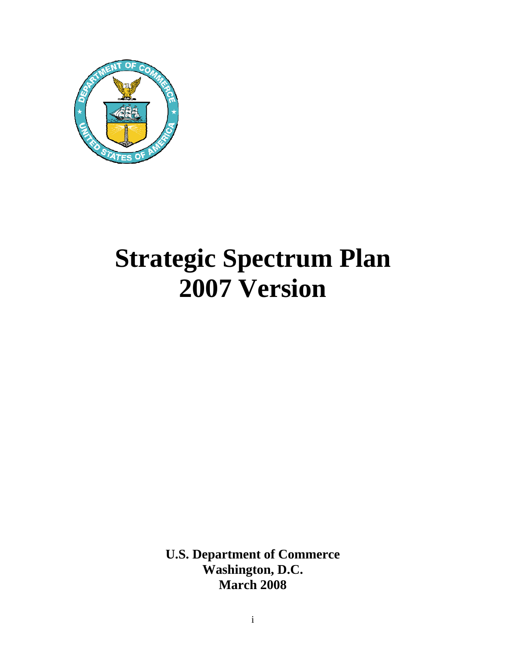

# **Strategic Spectrum Plan 2007 Version**

**U.S. Department of Commerce Washington, D.C. March 2008**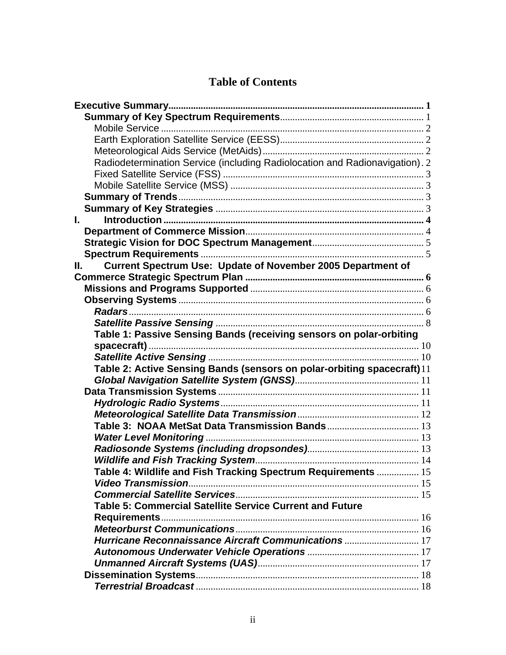## **Table of Contents**

| Radiodetermination Service (including Radiolocation and Radionavigation). 2 |  |
|-----------------------------------------------------------------------------|--|
|                                                                             |  |
|                                                                             |  |
|                                                                             |  |
|                                                                             |  |
| L.                                                                          |  |
|                                                                             |  |
|                                                                             |  |
|                                                                             |  |
| Current Spectrum Use: Update of November 2005 Department of<br>II. L        |  |
|                                                                             |  |
|                                                                             |  |
|                                                                             |  |
|                                                                             |  |
|                                                                             |  |
| Table 1: Passive Sensing Bands (receiving sensors on polar-orbiting         |  |
|                                                                             |  |
|                                                                             |  |
| Table 2: Active Sensing Bands (sensors on polar-orbiting spacecraft)11      |  |
|                                                                             |  |
|                                                                             |  |
|                                                                             |  |
|                                                                             |  |
|                                                                             |  |
|                                                                             |  |
|                                                                             |  |
|                                                                             |  |
| Table 4: Wildlife and Fish Tracking Spectrum Requirements  15               |  |
| <b>Video Transmission</b>                                                   |  |
|                                                                             |  |
| Table 5: Commercial Satellite Service Current and Future                    |  |
|                                                                             |  |
|                                                                             |  |
|                                                                             |  |
|                                                                             |  |
|                                                                             |  |
|                                                                             |  |
|                                                                             |  |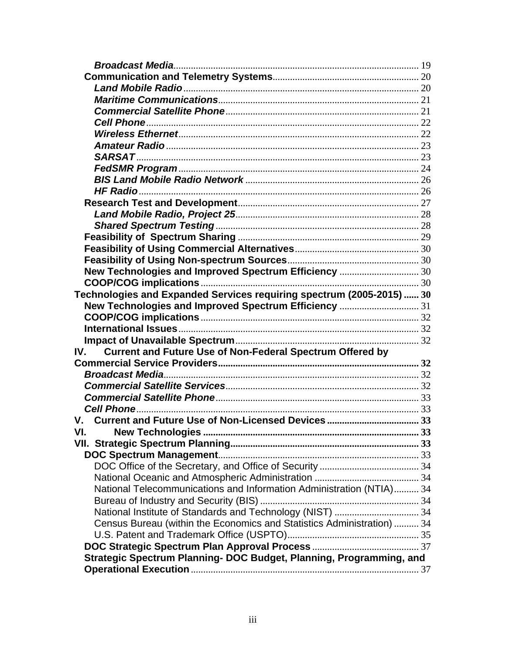| New Technologies and Improved Spectrum Efficiency  30                   |  |
|-------------------------------------------------------------------------|--|
|                                                                         |  |
| Technologies and Expanded Services requiring spectrum (2005-2015)  30   |  |
| New Technologies and Improved Spectrum Efficiency  31                   |  |
|                                                                         |  |
|                                                                         |  |
| <b>Current and Future Use of Non-Federal Spectrum Offered by</b><br>IV. |  |
|                                                                         |  |
|                                                                         |  |
|                                                                         |  |
|                                                                         |  |
|                                                                         |  |
|                                                                         |  |
| VI. IV                                                                  |  |
|                                                                         |  |
|                                                                         |  |
|                                                                         |  |
|                                                                         |  |
| National Telecommunications and Information Administration (NTIA) 34    |  |
|                                                                         |  |
|                                                                         |  |
| Census Bureau (within the Economics and Statistics Administration)  34  |  |
|                                                                         |  |
|                                                                         |  |
| Strategic Spectrum Planning- DOC Budget, Planning, Programming, and     |  |
|                                                                         |  |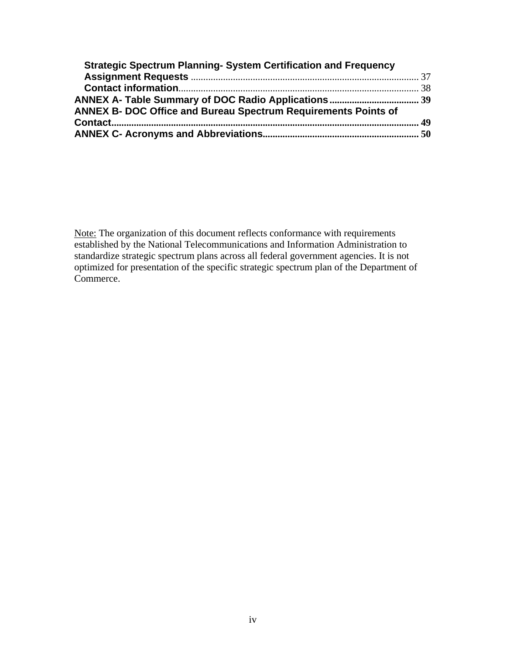| <b>Strategic Spectrum Planning- System Certification and Frequency</b> |  |
|------------------------------------------------------------------------|--|
|                                                                        |  |
|                                                                        |  |
|                                                                        |  |
| <b>ANNEX B- DOC Office and Bureau Spectrum Requirements Points of</b>  |  |
|                                                                        |  |
|                                                                        |  |

Note: The organization of this document reflects conformance with requirements established by the National Telecommunications and Information Administration to standardize strategic spectrum plans across all federal government agencies. It is not optimized for presentation of the specific strategic spectrum plan of the Department of Commerce.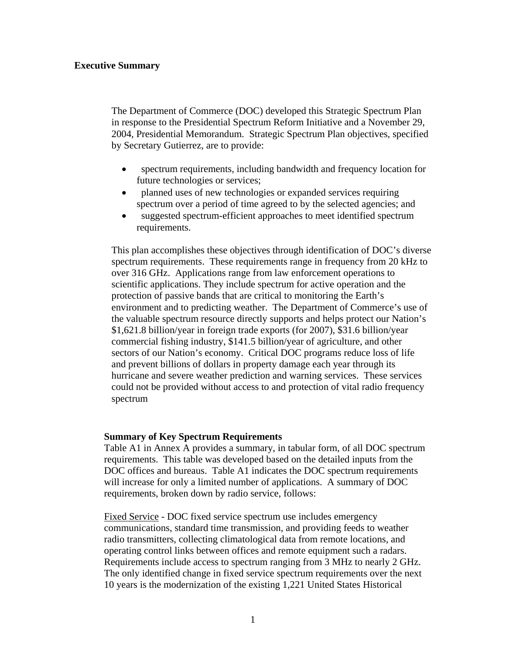## <span id="page-4-0"></span>**Executive Summary**

The Department of Commerce (DOC) developed this Strategic Spectrum Plan in response to the Presidential Spectrum Reform Initiative and a November 29, 2004, Presidential Memorandum. Strategic Spectrum Plan objectives, specified by Secretary Gutierrez, are to provide:

- spectrum requirements, including bandwidth and frequency location for future technologies or services;
- planned uses of new technologies or expanded services requiring spectrum over a period of time agreed to by the selected agencies; and
- suggested spectrum-efficient approaches to meet identified spectrum requirements.

This plan accomplishes these objectives through identification of DOC's diverse spectrum requirements. These requirements range in frequency from 20 kHz to over 316 GHz. Applications range from law enforcement operations to scientific applications. They include spectrum for active operation and the protection of passive bands that are critical to monitoring the Earth's environment and to predicting weather. The Department of Commerce's use of the valuable spectrum resource directly supports and helps protect our Nation's \$1,621.8 billion/year in foreign trade exports (for 2007), \$31.6 billion/year commercial fishing industry, \$141.5 billion/year of agriculture, and other sectors of our Nation's economy. Critical DOC programs reduce loss of life and prevent billions of dollars in property damage each year through its hurricane and severe weather prediction and warning services. These services could not be provided without access to and protection of vital radio frequency spectrum

## **Summary of Key Spectrum Requirements**

Table A1 in Annex A provides a summary, in tabular form, of all DOC spectrum requirements. This table was developed based on the detailed inputs from the DOC offices and bureaus. Table A1 indicates the DOC spectrum requirements will increase for only a limited number of applications. A summary of DOC requirements, broken down by radio service, follows:

Fixed Service - DOC fixed service spectrum use includes emergency communications, standard time transmission, and providing feeds to weather radio transmitters, collecting climatological data from remote locations, and operating control links between offices and remote equipment such a radars. Requirements include access to spectrum ranging from 3 MHz to nearly 2 GHz. The only identified change in fixed service spectrum requirements over the next 10 years is the modernization of the existing 1,221 United States Historical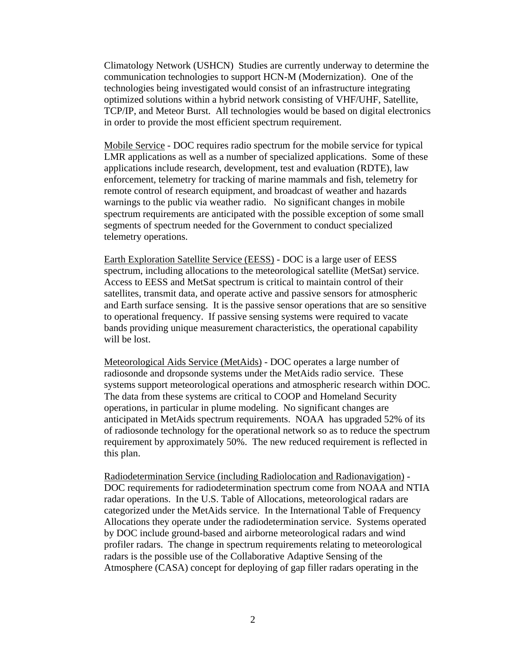<span id="page-5-0"></span>Climatology Network (USHCN) Studies are currently underway to determine the communication technologies to support HCN-M (Modernization). One of the technologies being investigated would consist of an infrastructure integrating optimized solutions within a hybrid network consisting of VHF/UHF, Satellite, TCP/IP, and Meteor Burst. All technologies would be based on digital electronics in order to provide the most efficient spectrum requirement.

Mobile Service - DOC requires radio spectrum for the mobile service for typical LMR applications as well as a number of specialized applications. Some of these applications include research, development, test and evaluation (RDTE), law enforcement, telemetry for tracking of marine mammals and fish, telemetry for remote control of research equipment, and broadcast of weather and hazards warnings to the public via weather radio. No significant changes in mobile spectrum requirements are anticipated with the possible exception of some small segments of spectrum needed for the Government to conduct specialized telemetry operations.

Earth Exploration Satellite Service (EESS) - DOC is a large user of EESS spectrum, including allocations to the meteorological satellite (MetSat) service. Access to EESS and MetSat spectrum is critical to maintain control of their satellites, transmit data, and operate active and passive sensors for atmospheric and Earth surface sensing. It is the passive sensor operations that are so sensitive to operational frequency. If passive sensing systems were required to vacate bands providing unique measurement characteristics, the operational capability will be lost.

Meteorological Aids Service (MetAids) - DOC operates a large number of radiosonde and dropsonde systems under the MetAids radio service. These systems support meteorological operations and atmospheric research within DOC. The data from these systems are critical to COOP and Homeland Security operations, in particular in plume modeling. No significant changes are anticipated in MetAids spectrum requirements. NOAA has upgraded 52% of its of radiosonde technology for the operational network so as to reduce the spectrum requirement by approximately 50%. The new reduced requirement is reflected in this plan.

Radiodetermination Service (including Radiolocation and Radionavigation) - DOC requirements for radiodetermination spectrum come from NOAA and NTIA radar operations. In the U.S. Table of Allocations, meteorological radars are categorized under the MetAids service. In the International Table of Frequency Allocations they operate under the radiodetermination service. Systems operated by DOC include ground-based and airborne meteorological radars and wind profiler radars. The change in spectrum requirements relating to meteorological radars is the possible use of the Collaborative Adaptive Sensing of the Atmosphere (CASA) concept for deploying of gap filler radars operating in the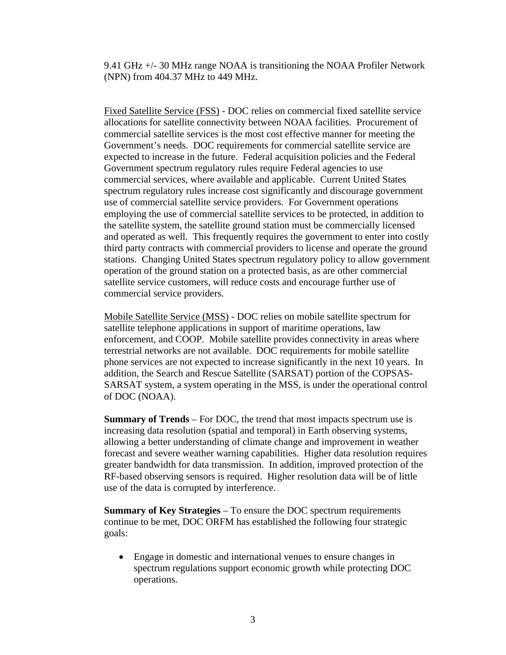<span id="page-6-0"></span>9.41 GHz +/- 30 MHz range NOAA is transitioning the NOAA Profiler Network (NPN) from 404.37 MHz to 449 MHz.

Fixed Satellite Service (FSS) - DOC relies on commercial fixed satellite service allocations for satellite connectivity between NOAA facilities. Procurement of commercial satellite services is the most cost effective manner for meeting the Government's needs. DOC requirements for commercial satellite service are expected to increase in the future. Federal acquisition policies and the Federal Government spectrum regulatory rules require Federal agencies to use commercial services, where available and applicable. Current United States spectrum regulatory rules increase cost significantly and discourage government use of commercial satellite service providers. For Government operations employing the use of commercial satellite services to be protected, in addition to the satellite system, the satellite ground station must be commercially licensed and operated as well. This frequently requires the government to enter into costly third party contracts with commercial providers to license and operate the ground stations. Changing United States spectrum regulatory policy to allow government operation of the ground station on a protected basis, as are other commercial satellite service customers, will reduce costs and encourage further use of commercial service providers.

Mobile Satellite Service (MSS) - DOC relies on mobile satellite spectrum for satellite telephone applications in support of maritime operations, law enforcement, and COOP. Mobile satellite provides connectivity in areas where terrestrial networks are not available. DOC requirements for mobile satellite phone services are not expected to increase significantly in the next 10 years. In addition, the Search and Rescue Satellite (SARSAT) portion of the COPSAS-SARSAT system, a system operating in the MSS, is under the operational control of DOC (NOAA).

**Summary of Trends** – For DOC, the trend that most impacts spectrum use is increasing data resolution (spatial and temporal) in Earth observing systems, allowing a better understanding of climate change and improvement in weather forecast and severe weather warning capabilities. Higher data resolution requires greater bandwidth for data transmission. In addition, improved protection of the RF-based observing sensors is required. Higher resolution data will be of little use of the data is corrupted by interference.

**Summary of Key Strategies** – To ensure the DOC spectrum requirements continue to be met, DOC ORFM has established the following four strategic goals:

• Engage in domestic and international venues to ensure changes in spectrum regulations support economic growth while protecting DOC operations.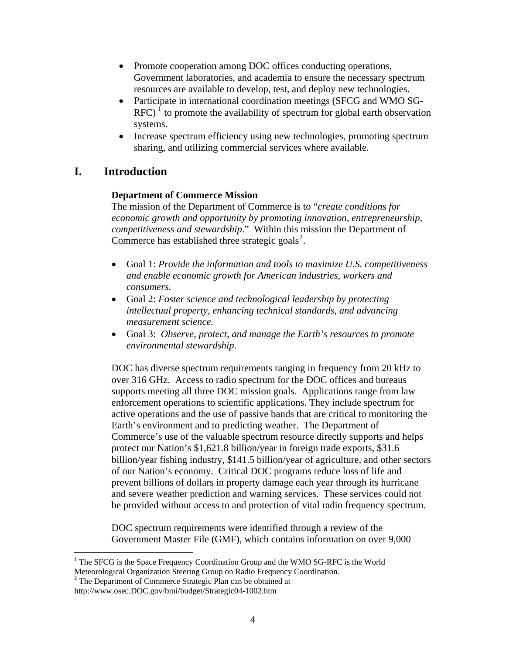- <span id="page-7-0"></span>• Promote cooperation among DOC offices conducting operations, Government laboratories, and academia to ensure the necessary spectrum resources are available to develop, test, and deploy new technologies.
- Participate in international coordination meetings (SFCG and WMO SG- $RFC$ )  $\hat{I}$  to promote the availability of spectrum for global earth observation systems.
- Increase spectrum efficiency using new technologies, promoting spectrum sharing, and utilizing commercial services where available.

## **I. Introduction**

## **Department of Commerce Mission**

The mission of the Department of Commerce is to "*create conditions for economic growth and opportunity by promoting innovation, entrepreneurship, competitiveness and stewardship*." Within this mission the Department of Commerce has established three strategic goals<sup>[2](#page-7-0)</sup>.

- Goal 1: *Provide the information and tools to maximize U.S. competitiveness and enable economic growth for American industries, workers and consumers.*
- Goal 2: *Foster science and technological leadership by protecting intellectual property, enhancing technical standards, and advancing measurement science.*
- Goal 3: *Observe, protect, and manage the Earth's resources to promote environmental stewardship.*

DOC has diverse spectrum requirements ranging in frequency from 20 kHz to over 316 GHz. Access to radio spectrum for the DOC offices and bureaus supports meeting all three DOC mission goals. Applications range from law enforcement operations to scientific applications. They include spectrum for active operations and the use of passive bands that are critical to monitoring the Earth's environment and to predicting weather. The Department of Commerce's use of the valuable spectrum resource directly supports and helps protect our Nation's \$1,621.8 billion/year in foreign trade exports, \$31.6 billion/year fishing industry, \$141.5 billion/year of agriculture, and other sectors of our Nation's economy. Critical DOC programs reduce loss of life and prevent billions of dollars in property damage each year through its hurricane and severe weather prediction and warning services. These services could not be provided without access to and protection of vital radio frequency spectrum.

DOC spectrum requirements were identified through a review of the Government Master File (GMF), which contains information on over 9,000

 $\overline{a}$  $1$ <sup>1</sup> The SFCG is the Space Frequency Coordination Group and the WMO SG-RFC is the World Meteorological Organization Steering Group on Radio Frequency Coordination.

<sup>&</sup>lt;sup>2</sup> The Department of Commerce Strategic Plan can be obtained at

http://www.osec.DOC.gov/bmi/budget/Strategic04-1002.htm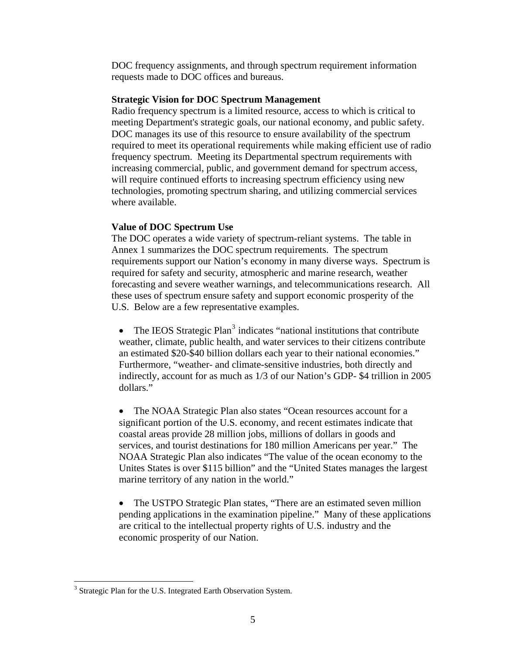<span id="page-8-0"></span>DOC frequency assignments, and through spectrum requirement information requests made to DOC offices and bureaus.

#### **Strategic Vision for DOC Spectrum Management**

Radio frequency spectrum is a limited resource, access to which is critical to meeting Department's strategic goals, our national economy, and public safety. DOC manages its use of this resource to ensure availability of the spectrum required to meet its operational requirements while making efficient use of radio frequency spectrum. Meeting its Departmental spectrum requirements with increasing commercial, public, and government demand for spectrum access, will require continued efforts to increasing spectrum efficiency using new technologies, promoting spectrum sharing, and utilizing commercial services where available.

## **Value of DOC Spectrum Use**

The DOC operates a wide variety of spectrum-reliant systems. The table in Annex 1 summarizes the DOC spectrum requirements. The spectrum requirements support our Nation's economy in many diverse ways. Spectrum is required for safety and security, atmospheric and marine research, weather forecasting and severe weather warnings, and telecommunications research. All these uses of spectrum ensure safety and support economic prosperity of the U.S. Below are a few representative examples.

• The IEOS Strategic Plan<sup>[3](#page-8-0)</sup> indicates "national institutions that contribute weather, climate, public health, and water services to their citizens contribute an estimated \$20-\$40 billion dollars each year to their national economies." Furthermore, "weather- and climate-sensitive industries, both directly and indirectly, account for as much as 1/3 of our Nation's GDP- \$4 trillion in 2005 dollars."

• The NOAA Strategic Plan also states "Ocean resources account for a significant portion of the U.S. economy, and recent estimates indicate that coastal areas provide 28 million jobs, millions of dollars in goods and services, and tourist destinations for 180 million Americans per year." The NOAA Strategic Plan also indicates "The value of the ocean economy to the Unites States is over \$115 billion" and the "United States manages the largest marine territory of any nation in the world."

• The USTPO Strategic Plan states, "There are an estimated seven million pending applications in the examination pipeline." Many of these applications are critical to the intellectual property rights of U.S. industry and the economic prosperity of our Nation.

 $\overline{a}$ 

<sup>&</sup>lt;sup>3</sup> Strategic Plan for the U.S. Integrated Earth Observation System.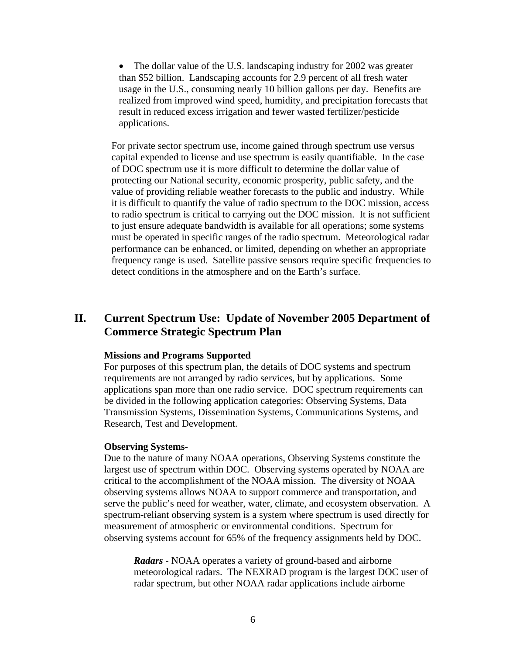<span id="page-9-0"></span>• The dollar value of the U.S. landscaping industry for 2002 was greater than \$52 billion. Landscaping accounts for 2.9 percent of all fresh water usage in the U.S., consuming nearly 10 billion gallons per day. Benefits are realized from improved wind speed, humidity, and precipitation forecasts that result in reduced excess irrigation and fewer wasted fertilizer/pesticide applications.

For private sector spectrum use, income gained through spectrum use versus capital expended to license and use spectrum is easily quantifiable. In the case of DOC spectrum use it is more difficult to determine the dollar value of protecting our National security, economic prosperity, public safety, and the value of providing reliable weather forecasts to the public and industry. While it is difficult to quantify the value of radio spectrum to the DOC mission, access to radio spectrum is critical to carrying out the DOC mission. It is not sufficient to just ensure adequate bandwidth is available for all operations; some systems must be operated in specific ranges of the radio spectrum. Meteorological radar performance can be enhanced, or limited, depending on whether an appropriate frequency range is used. Satellite passive sensors require specific frequencies to detect conditions in the atmosphere and on the Earth's surface.

## **II. Current Spectrum Use: Update of November 2005 Department of Commerce Strategic Spectrum Plan**

#### **Missions and Programs Supported**

For purposes of this spectrum plan, the details of DOC systems and spectrum requirements are not arranged by radio services, but by applications. Some applications span more than one radio service. DOC spectrum requirements can be divided in the following application categories: Observing Systems, Data Transmission Systems, Dissemination Systems, Communications Systems, and Research, Test and Development.

#### **Observing Systems-**

Due to the nature of many NOAA operations, Observing Systems constitute the largest use of spectrum within DOC. Observing systems operated by NOAA are critical to the accomplishment of the NOAA mission. The diversity of NOAA observing systems allows NOAA to support commerce and transportation, and serve the public's need for weather, water, climate, and ecosystem observation. A spectrum-reliant observing system is a system where spectrum is used directly for measurement of atmospheric or environmental conditions. Spectrum for observing systems account for 65% of the frequency assignments held by DOC.

*Radars* - NOAA operates a variety of ground-based and airborne meteorological radars. The NEXRAD program is the largest DOC user of radar spectrum, but other NOAA radar applications include airborne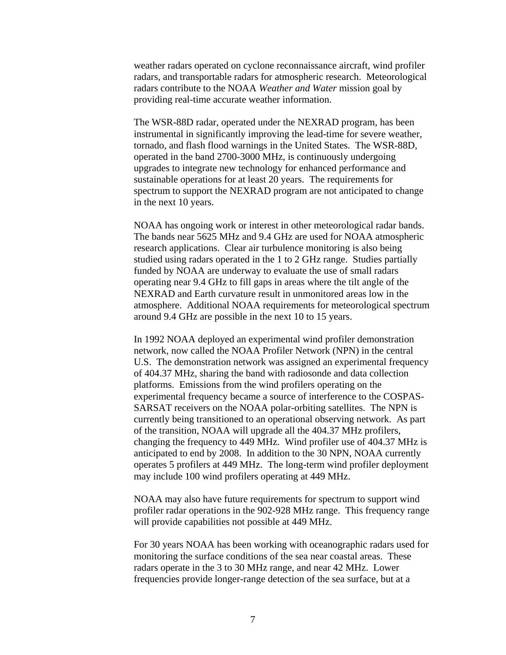weather radars operated on cyclone reconnaissance aircraft, wind profiler radars, and transportable radars for atmospheric research. Meteorological radars contribute to the NOAA *Weather and Water* mission goal by providing real-time accurate weather information.

The WSR-88D radar, operated under the NEXRAD program, has been instrumental in significantly improving the lead-time for severe weather, tornado, and flash flood warnings in the United States. The WSR-88D, operated in the band 2700-3000 MHz, is continuously undergoing upgrades to integrate new technology for enhanced performance and sustainable operations for at least 20 years. The requirements for spectrum to support the NEXRAD program are not anticipated to change in the next 10 years.

NOAA has ongoing work or interest in other meteorological radar bands. The bands near 5625 MHz and 9.4 GHz are used for NOAA atmospheric research applications. Clear air turbulence monitoring is also being studied using radars operated in the 1 to 2 GHz range. Studies partially funded by NOAA are underway to evaluate the use of small radars operating near 9.4 GHz to fill gaps in areas where the tilt angle of the NEXRAD and Earth curvature result in unmonitored areas low in the atmosphere. Additional NOAA requirements for meteorological spectrum around 9.4 GHz are possible in the next 10 to 15 years.

In 1992 NOAA deployed an experimental wind profiler demonstration network, now called the NOAA Profiler Network (NPN) in the central U.S. The demonstration network was assigned an experimental frequency of 404.37 MHz, sharing the band with radiosonde and data collection platforms. Emissions from the wind profilers operating on the experimental frequency became a source of interference to the COSPAS-SARSAT receivers on the NOAA polar-orbiting satellites. The NPN is currently being transitioned to an operational observing network. As part of the transition, NOAA will upgrade all the 404.37 MHz profilers, changing the frequency to 449 MHz. Wind profiler use of 404.37 MHz is anticipated to end by 2008. In addition to the 30 NPN, NOAA currently operates 5 profilers at 449 MHz. The long-term wind profiler deployment may include 100 wind profilers operating at 449 MHz.

NOAA may also have future requirements for spectrum to support wind profiler radar operations in the 902-928 MHz range. This frequency range will provide capabilities not possible at 449 MHz.

For 30 years NOAA has been working with oceanographic radars used for monitoring the surface conditions of the sea near coastal areas. These radars operate in the 3 to 30 MHz range, and near 42 MHz. Lower frequencies provide longer-range detection of the sea surface, but at a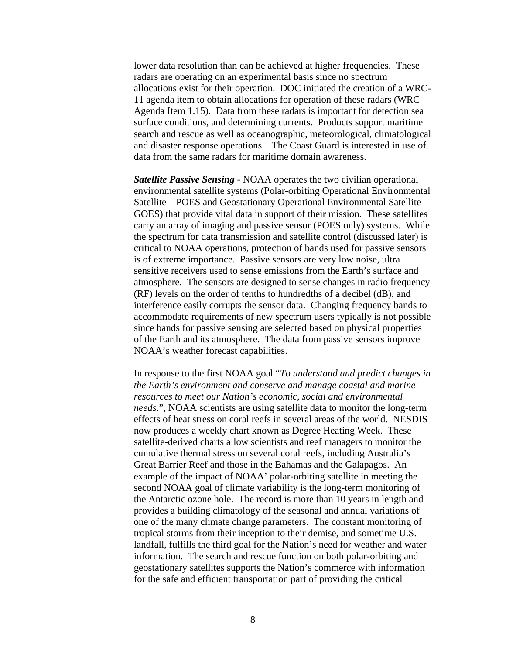<span id="page-11-0"></span>lower data resolution than can be achieved at higher frequencies. These radars are operating on an experimental basis since no spectrum allocations exist for their operation. DOC initiated the creation of a WRC-11 agenda item to obtain allocations for operation of these radars (WRC Agenda Item 1.15). Data from these radars is important for detection sea surface conditions, and determining currents. Products support maritime search and rescue as well as oceanographic, meteorological, climatological and disaster response operations. The Coast Guard is interested in use of data from the same radars for maritime domain awareness.

*Satellite Passive Sensing -* NOAA operates the two civilian operational environmental satellite systems (Polar-orbiting Operational Environmental Satellite – POES and Geostationary Operational Environmental Satellite – GOES) that provide vital data in support of their mission. These satellites carry an array of imaging and passive sensor (POES only) systems. While the spectrum for data transmission and satellite control (discussed later) is critical to NOAA operations, protection of bands used for passive sensors is of extreme importance. Passive sensors are very low noise, ultra sensitive receivers used to sense emissions from the Earth's surface and atmosphere. The sensors are designed to sense changes in radio frequency (RF) levels on the order of tenths to hundredths of a decibel (dB), and interference easily corrupts the sensor data. Changing frequency bands to accommodate requirements of new spectrum users typically is not possible since bands for passive sensing are selected based on physical properties of the Earth and its atmosphere. The data from passive sensors improve NOAA's weather forecast capabilities.

In response to the first NOAA goal "*To understand and predict changes in the Earth's environment and conserve and manage coastal and marine resources to meet our Nation's economic, social and environmental needs*.", NOAA scientists are using satellite data to monitor the long-term effects of heat stress on coral reefs in several areas of the world. NESDIS now produces a weekly chart known as Degree Heating Week. These satellite-derived charts allow scientists and reef managers to monitor the cumulative thermal stress on several coral reefs, including Australia's Great Barrier Reef and those in the Bahamas and the Galapagos. An example of the impact of NOAA' polar-orbiting satellite in meeting the second NOAA goal of climate variability is the long-term monitoring of the Antarctic ozone hole. The record is more than 10 years in length and provides a building climatology of the seasonal and annual variations of one of the many climate change parameters. The constant monitoring of tropical storms from their inception to their demise, and sometime U.S. landfall, fulfills the third goal for the Nation's need for weather and water information. The search and rescue function on both polar-orbiting and geostationary satellites supports the Nation's commerce with information for the safe and efficient transportation part of providing the critical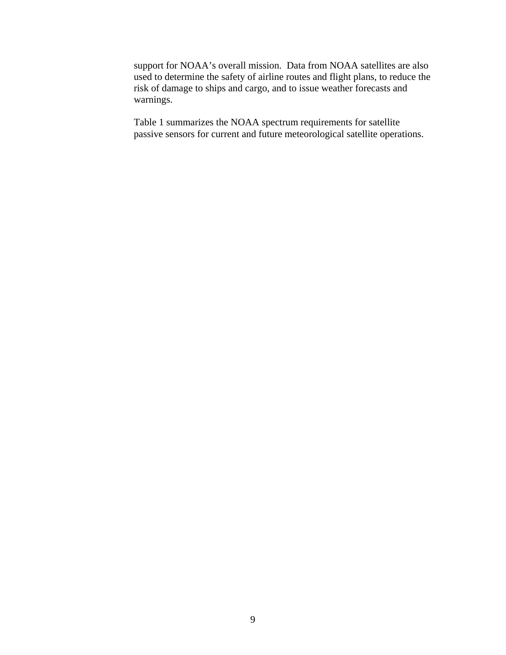support for NOAA's overall mission. Data from NOAA satellites are also used to determine the safety of airline routes and flight plans, to reduce the risk of damage to ships and cargo, and to issue weather forecasts and warnings.

Table 1 summarizes the NOAA spectrum requirements for satellite passive sensors for current and future meteorological satellite operations.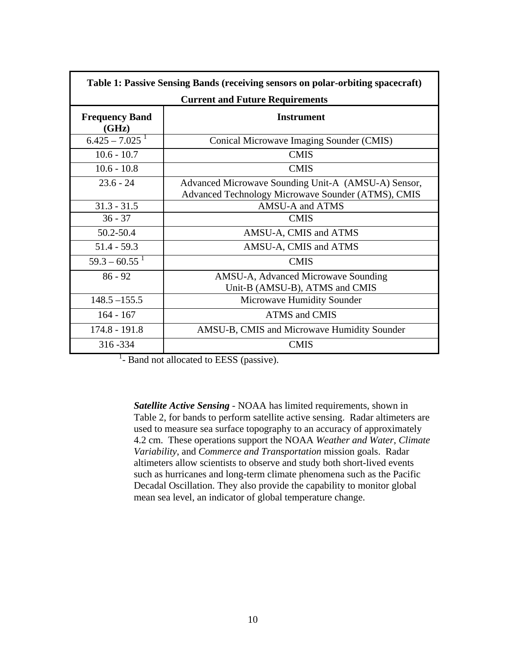<span id="page-13-0"></span>

| Table 1: Passive Sensing Bands (receiving sensors on polar-orbiting spacecraft) |                                                                                                           |  |  |  |  |
|---------------------------------------------------------------------------------|-----------------------------------------------------------------------------------------------------------|--|--|--|--|
|                                                                                 | <b>Current and Future Requirements</b>                                                                    |  |  |  |  |
| <b>Frequency Band</b><br>(GHz)                                                  | <b>Instrument</b>                                                                                         |  |  |  |  |
| $6.425 - 7.025$ <sup>1</sup>                                                    | Conical Microwave Imaging Sounder (CMIS)                                                                  |  |  |  |  |
| $10.6 - 10.7$                                                                   | <b>CMIS</b>                                                                                               |  |  |  |  |
| $10.6 - 10.8$                                                                   | <b>CMIS</b>                                                                                               |  |  |  |  |
| $23.6 - 24$                                                                     | Advanced Microwave Sounding Unit-A (AMSU-A) Sensor,<br>Advanced Technology Microwave Sounder (ATMS), CMIS |  |  |  |  |
| $31.3 - 31.5$                                                                   | AMSU-A and ATMS                                                                                           |  |  |  |  |
| $36 - 37$                                                                       | <b>CMIS</b>                                                                                               |  |  |  |  |
| 50.2-50.4                                                                       | AMSU-A, CMIS and ATMS                                                                                     |  |  |  |  |
| $51.4 - 59.3$                                                                   | AMSU-A, CMIS and ATMS                                                                                     |  |  |  |  |
| $59.3 - 60.55$ <sup>1</sup>                                                     | <b>CMIS</b>                                                                                               |  |  |  |  |
| $86 - 92$                                                                       | AMSU-A, Advanced Microwave Sounding<br>Unit-B (AMSU-B), ATMS and CMIS                                     |  |  |  |  |
| $148.5 - 155.5$                                                                 | Microwave Humidity Sounder                                                                                |  |  |  |  |
| $164 - 167$                                                                     | <b>ATMS and CMIS</b>                                                                                      |  |  |  |  |
| $174.8 - 191.8$                                                                 | AMSU-B, CMIS and Microwave Humidity Sounder                                                               |  |  |  |  |
| 316-334                                                                         | <b>CMIS</b>                                                                                               |  |  |  |  |

 $<sup>1</sup>$ - Band not allocated to EESS (passive).</sup>

*Satellite Active Sensing -* NOAA has limited requirements, shown in Table 2, for bands to perform satellite active sensing. Radar altimeters are used to measure sea surface topography to an accuracy of approximately 4.2 cm. These operations support the NOAA *Weather and Water*, *Climate Variability*, and *Commerce and Transportation* mission goals. Radar altimeters allow scientists to observe and study both short-lived events such as hurricanes and long-term climate phenomena such as the Pacific Decadal Oscillation. They also provide the capability to monitor global mean sea level, an indicator of global temperature change.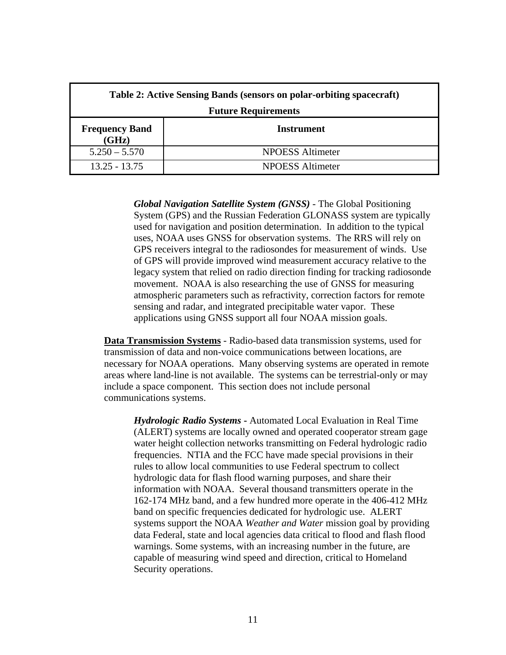<span id="page-14-0"></span>

| Table 2: Active Sensing Bands (sensors on polar-orbiting spacecraft) |                         |  |  |  |
|----------------------------------------------------------------------|-------------------------|--|--|--|
| <b>Future Requirements</b>                                           |                         |  |  |  |
| <b>Frequency Band</b><br>(GHz)                                       | Instrument              |  |  |  |
| $5.250 - 5.570$                                                      | <b>NPOESS Altimeter</b> |  |  |  |
| 13.25 - 13.75                                                        | <b>NPOESS</b> Altimeter |  |  |  |

*Global Navigation Satellite System (GNSS)* - The Global Positioning System (GPS) and the Russian Federation GLONASS system are typically used for navigation and position determination. In addition to the typical uses, NOAA uses GNSS for observation systems. The RRS will rely on GPS receivers integral to the radiosondes for measurement of winds. Use of GPS will provide improved wind measurement accuracy relative to the legacy system that relied on radio direction finding for tracking radiosonde movement. NOAA is also researching the use of GNSS for measuring atmospheric parameters such as refractivity, correction factors for remote sensing and radar, and integrated precipitable water vapor. These applications using GNSS support all four NOAA mission goals.

**Data Transmission Systems** - Radio-based data transmission systems, used for transmission of data and non-voice communications between locations, are necessary for NOAA operations. Many observing systems are operated in remote areas where land-line is not available. The systems can be terrestrial-only or may include a space component. This section does not include personal communications systems.

*Hydrologic Radio Systems* **-** Automated Local Evaluation in Real Time (ALERT) systems are locally owned and operated cooperator stream gage water height collection networks transmitting on Federal hydrologic radio frequencies. NTIA and the FCC have made special provisions in their rules to allow local communities to use Federal spectrum to collect hydrologic data for flash flood warning purposes, and share their information with NOAA. Several thousand transmitters operate in the 162-174 MHz band, and a few hundred more operate in the 406-412 MHz band on specific frequencies dedicated for hydrologic use. ALERT systems support the NOAA *Weather and Water* mission goal by providing data Federal, state and local agencies data critical to flood and flash flood warnings. Some systems, with an increasing number in the future, are capable of measuring wind speed and direction, critical to Homeland Security operations.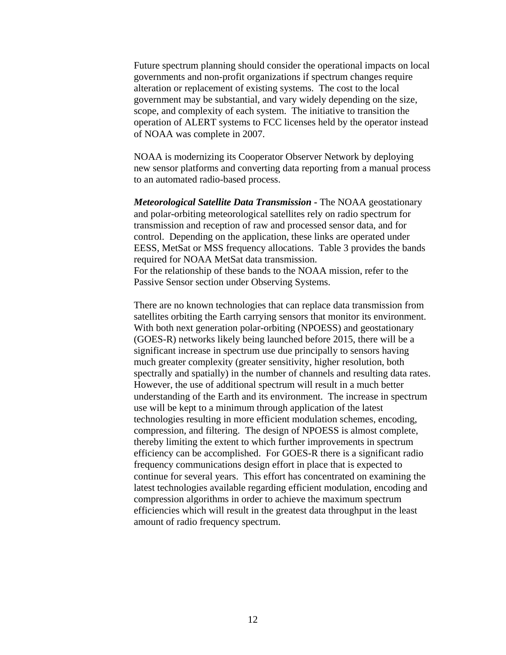<span id="page-15-0"></span>Future spectrum planning should consider the operational impacts on local governments and non-profit organizations if spectrum changes require alteration or replacement of existing systems. The cost to the local government may be substantial, and vary widely depending on the size, scope, and complexity of each system. The initiative to transition the operation of ALERT systems to FCC licenses held by the operator instead of NOAA was complete in 2007.

NOAA is modernizing its Cooperator Observer Network by deploying new sensor platforms and converting data reporting from a manual process to an automated radio-based process.

*Meteorological Satellite Data Transmission* **-** The NOAA geostationary and polar-orbiting meteorological satellites rely on radio spectrum for transmission and reception of raw and processed sensor data, and for control. Depending on the application, these links are operated under EESS, MetSat or MSS frequency allocations. Table 3 provides the bands required for NOAA MetSat data transmission. For the relationship of these bands to the NOAA mission, refer to the Passive Sensor section under Observing Systems.

There are no known technologies that can replace data transmission from satellites orbiting the Earth carrying sensors that monitor its environment. With both next generation polar-orbiting (NPOESS) and geostationary (GOES-R) networks likely being launched before 2015, there will be a significant increase in spectrum use due principally to sensors having much greater complexity (greater sensitivity, higher resolution, both spectrally and spatially) in the number of channels and resulting data rates. However, the use of additional spectrum will result in a much better understanding of the Earth and its environment. The increase in spectrum use will be kept to a minimum through application of the latest technologies resulting in more efficient modulation schemes, encoding, compression, and filtering. The design of NPOESS is almost complete, thereby limiting the extent to which further improvements in spectrum efficiency can be accomplished. For GOES-R there is a significant radio frequency communications design effort in place that is expected to continue for several years. This effort has concentrated on examining the latest technologies available regarding efficient modulation, encoding and compression algorithms in order to achieve the maximum spectrum efficiencies which will result in the greatest data throughput in the least amount of radio frequency spectrum.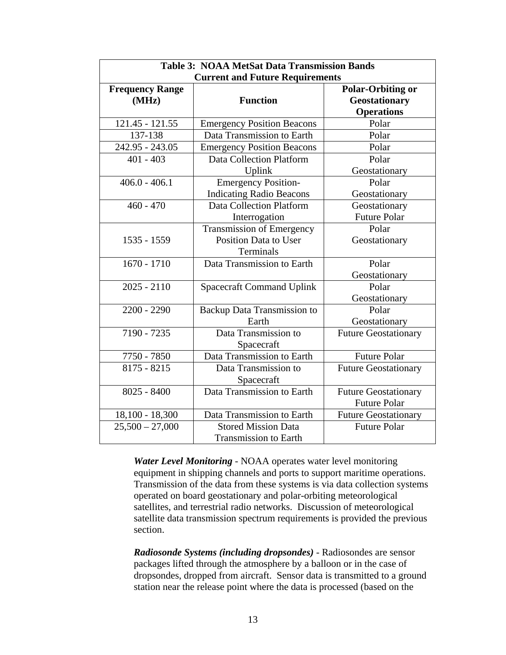<span id="page-16-0"></span>

| <b>Table 3: NOAA MetSat Data Transmission Bands</b> |                                                     |                             |  |  |  |  |  |
|-----------------------------------------------------|-----------------------------------------------------|-----------------------------|--|--|--|--|--|
| <b>Current and Future Requirements</b>              |                                                     |                             |  |  |  |  |  |
| <b>Frequency Range</b>                              | <b>Polar-Orbiting or</b>                            |                             |  |  |  |  |  |
| (MHz)                                               | <b>Function</b>                                     | <b>Geostationary</b>        |  |  |  |  |  |
|                                                     |                                                     | <b>Operations</b>           |  |  |  |  |  |
| 121.45 - 121.55                                     | <b>Emergency Position Beacons</b>                   | Polar                       |  |  |  |  |  |
| 137-138                                             | Data Transmission to Earth                          | Polar                       |  |  |  |  |  |
| 242.95 - 243.05                                     | <b>Emergency Position Beacons</b>                   | Polar                       |  |  |  |  |  |
| $401 - 403$                                         | <b>Data Collection Platform</b>                     | Polar                       |  |  |  |  |  |
|                                                     | Uplink                                              | Geostationary               |  |  |  |  |  |
| $406.0 - 406.1$                                     | <b>Emergency Position-</b>                          | Polar                       |  |  |  |  |  |
|                                                     | <b>Indicating Radio Beacons</b>                     | Geostationary               |  |  |  |  |  |
| $460 - 470$                                         | <b>Data Collection Platform</b>                     | Geostationary               |  |  |  |  |  |
|                                                     | Interrogation                                       | <b>Future Polar</b>         |  |  |  |  |  |
|                                                     | <b>Transmission of Emergency</b>                    | Polar                       |  |  |  |  |  |
| 1535 - 1559                                         | <b>Position Data to User</b>                        | Geostationary               |  |  |  |  |  |
|                                                     | Terminals                                           |                             |  |  |  |  |  |
| $1670 - 1710$                                       | Data Transmission to Earth                          | Polar                       |  |  |  |  |  |
|                                                     |                                                     | Geostationary               |  |  |  |  |  |
| $2025 - 2110$                                       | <b>Spacecraft Command Uplink</b>                    | Polar                       |  |  |  |  |  |
|                                                     |                                                     | Geostationary               |  |  |  |  |  |
| $2200 - 2290$                                       | <b>Backup Data Transmission to</b>                  | Polar                       |  |  |  |  |  |
|                                                     | Earth                                               | Geostationary               |  |  |  |  |  |
| 7190 - 7235                                         | Data Transmission to                                | <b>Future Geostationary</b> |  |  |  |  |  |
|                                                     | Spacecraft                                          |                             |  |  |  |  |  |
| 7750 - 7850                                         | Data Transmission to Earth                          | <b>Future Polar</b>         |  |  |  |  |  |
| $8175 - 8215$                                       | Data Transmission to<br><b>Future Geostationary</b> |                             |  |  |  |  |  |
|                                                     | Spacecraft                                          |                             |  |  |  |  |  |
| $8025 - 8400$                                       | Data Transmission to Earth                          | <b>Future Geostationary</b> |  |  |  |  |  |
|                                                     |                                                     | <b>Future Polar</b>         |  |  |  |  |  |
| $18,100 - 18,300$                                   | Data Transmission to Earth                          | <b>Future Geostationary</b> |  |  |  |  |  |
| $25,500 - 27,000$                                   | <b>Stored Mission Data</b>                          | <b>Future Polar</b>         |  |  |  |  |  |
|                                                     | <b>Transmission to Earth</b>                        |                             |  |  |  |  |  |

*Water Level Monitoring -* NOAA operates water level monitoring equipment in shipping channels and ports to support maritime operations. Transmission of the data from these systems is via data collection systems operated on board geostationary and polar-orbiting meteorological satellites, and terrestrial radio networks. Discussion of meteorological satellite data transmission spectrum requirements is provided the previous section.

*Radiosonde Systems (including dropsondes)* - Radiosondes are sensor packages lifted through the atmosphere by a balloon or in the case of dropsondes, dropped from aircraft. Sensor data is transmitted to a ground station near the release point where the data is processed (based on the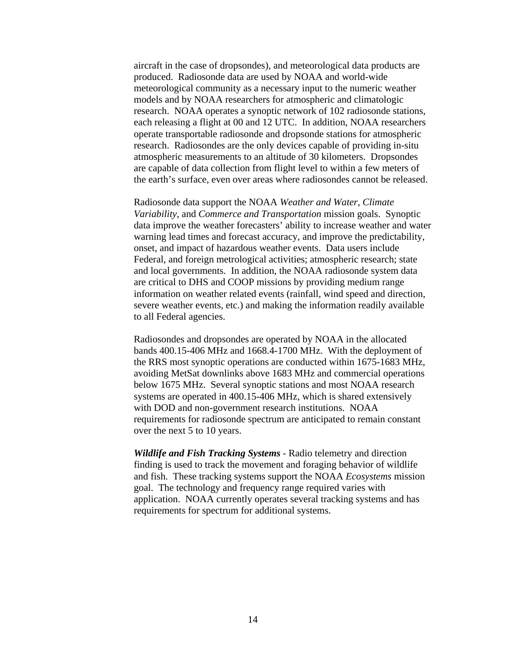<span id="page-17-0"></span>aircraft in the case of dropsondes), and meteorological data products are produced. Radiosonde data are used by NOAA and world-wide meteorological community as a necessary input to the numeric weather models and by NOAA researchers for atmospheric and climatologic research. NOAA operates a synoptic network of 102 radiosonde stations, each releasing a flight at 00 and 12 UTC. In addition, NOAA researchers operate transportable radiosonde and dropsonde stations for atmospheric research. Radiosondes are the only devices capable of providing in-situ atmospheric measurements to an altitude of 30 kilometers. Dropsondes are capable of data collection from flight level to within a few meters of the earth's surface, even over areas where radiosondes cannot be released.

Radiosonde data support the NOAA *Weather and Water*, *Climate Variability*, and *Commerce and Transportation* mission goals. Synoptic data improve the weather forecasters' ability to increase weather and water warning lead times and forecast accuracy, and improve the predictability, onset, and impact of hazardous weather events. Data users include Federal, and foreign metrological activities; atmospheric research; state and local governments. In addition, the NOAA radiosonde system data are critical to DHS and COOP missions by providing medium range information on weather related events (rainfall, wind speed and direction, severe weather events, etc.) and making the information readily available to all Federal agencies.

Radiosondes and dropsondes are operated by NOAA in the allocated bands 400.15-406 MHz and 1668.4-1700 MHz. With the deployment of the RRS most synoptic operations are conducted within 1675-1683 MHz, avoiding MetSat downlinks above 1683 MHz and commercial operations below 1675 MHz. Several synoptic stations and most NOAA research systems are operated in 400.15-406 MHz, which is shared extensively with DOD and non-government research institutions. NOAA requirements for radiosonde spectrum are anticipated to remain constant over the next 5 to 10 years.

*Wildlife and Fish Tracking Systems -* Radio telemetry and direction finding is used to track the movement and foraging behavior of wildlife and fish. These tracking systems support the NOAA *Ecosystems* mission goal. The technology and frequency range required varies with application. NOAA currently operates several tracking systems and has requirements for spectrum for additional systems.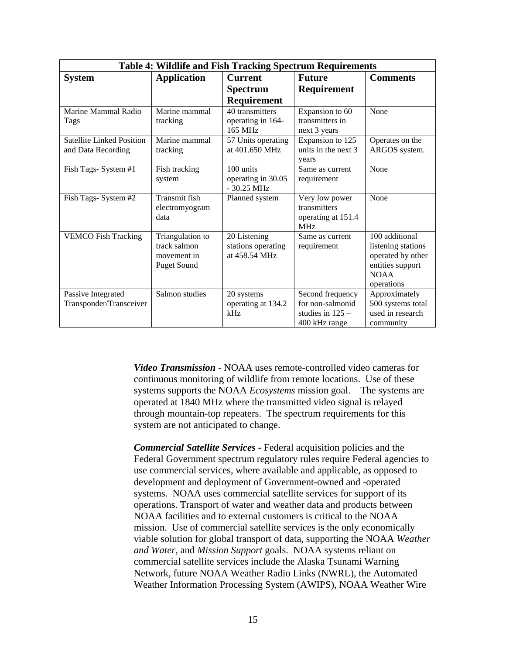<span id="page-18-0"></span>

| <b>Table 4: Wildlife and Fish Tracking Spectrum Requirements</b> |                        |                                    |                                    |                    |  |  |  |
|------------------------------------------------------------------|------------------------|------------------------------------|------------------------------------|--------------------|--|--|--|
| <b>System</b>                                                    | <b>Application</b>     | <b>Current</b>                     | <b>Future</b>                      | <b>Comments</b>    |  |  |  |
|                                                                  |                        | <b>Spectrum</b>                    | Requirement                        |                    |  |  |  |
|                                                                  |                        | Requirement                        |                                    |                    |  |  |  |
| Marine Mammal Radio                                              | Marine mammal          | 40 transmitters                    | Expansion to 60                    | None               |  |  |  |
| Tags                                                             | tracking               | operating in 164-<br>165 MHz       | transmitters in<br>next 3 years    |                    |  |  |  |
| <b>Satellite Linked Position</b>                                 | Marine mammal          | 57 Units operating                 | Expansion to 125                   | Operates on the    |  |  |  |
| and Data Recording                                               | tracking               | at 401.650 MHz                     | units in the next 3<br>years       | ARGOS system.      |  |  |  |
| Fish Tags- System #1                                             | Fish tracking          | 100 units                          | Same as current                    | None               |  |  |  |
|                                                                  | system                 | operating in 30.05<br>$-30.25$ MHz | requirement                        |                    |  |  |  |
| Fish Tags- System #2                                             | Transmit fish          | Planned system                     | Very low power                     | None               |  |  |  |
|                                                                  | electromyogram<br>data |                                    | transmitters<br>operating at 151.4 |                    |  |  |  |
|                                                                  |                        |                                    | MHz                                |                    |  |  |  |
| <b>VEMCO Fish Tracking</b>                                       | Triangulation to       | 20 Listening                       | Same as current                    | 100 additional     |  |  |  |
|                                                                  | track salmon           | stations operating                 | requirement                        | listening stations |  |  |  |
|                                                                  | movement in            | at 458.54 MHz                      |                                    | operated by other  |  |  |  |
|                                                                  | <b>Puget Sound</b>     |                                    |                                    | entities support   |  |  |  |
|                                                                  |                        |                                    |                                    | <b>NOAA</b>        |  |  |  |
|                                                                  |                        |                                    |                                    | operations         |  |  |  |
| Passive Integrated                                               | Salmon studies         | 20 systems                         | Second frequency                   | Approximately      |  |  |  |
| Transponder/Transceiver                                          |                        | operating at 134.2                 | for non-salmonid                   | 500 systems total  |  |  |  |
|                                                                  |                        | kHz                                | studies in $125 -$                 | used in research   |  |  |  |
|                                                                  |                        |                                    | 400 kHz range                      | community          |  |  |  |

*Video Transmission -* NOAA uses remote-controlled video cameras for continuous monitoring of wildlife from remote locations. Use of these systems supports the NOAA *Ecosystems* mission goal. The systems are operated at 1840 MHz where the transmitted video signal is relayed through mountain-top repeaters. The spectrum requirements for this system are not anticipated to change.

<span id="page-18-1"></span>*Commercial Satellite Services* **-** Federal acquisition policies and the Federal Government spectrum regulatory rules require Federal agencies to use commercial services, where available and applicable, as opposed to development and deployment of Government-owned and -operated systems. NOAA uses commercial satellite services for support of its operations. Transport of water and weather data and products between NOAA facilities and to external customers is critical to the NOAA mission. Use of commercial satellite services is the only economically viable solution for global transport of data, supporting the NOAA *Weather and Water*, and *Mission Support* goals. NOAA systems reliant on commercial satellite services include the Alaska Tsunami Warning Network, future NOAA Weather Radio Links (NWRL), the Automated Weather Information Processing System (AWIPS), NOAA Weather Wire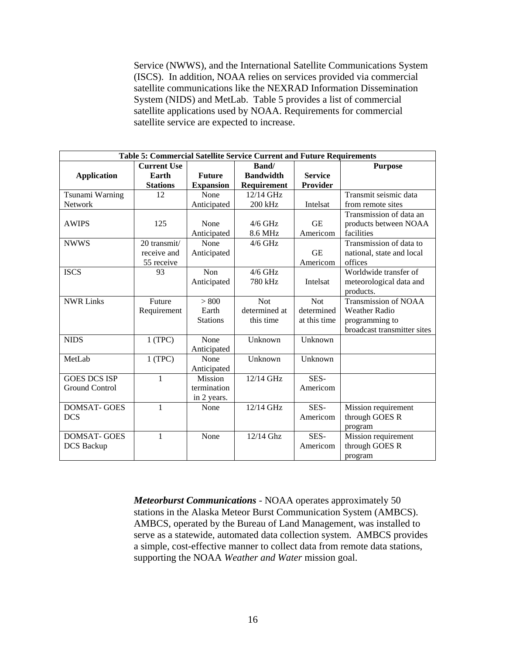<span id="page-19-0"></span>Service (NWWS), and the International Satellite Communications System (ISCS). In addition, NOAA relies on services provided via commercial satellite communications like the NEXRAD Information Dissemination System (NIDS) and MetLab. Table 5 provides a list of commercial satellite applications used by NOAA. Requirements for commercial satellite service are expected to increase.

| Table 5: Commercial Satellite Service Current and Future Requirements |                    |                  |                  |                |                             |  |  |  |
|-----------------------------------------------------------------------|--------------------|------------------|------------------|----------------|-----------------------------|--|--|--|
|                                                                       | <b>Current Use</b> |                  | Band/            | <b>Purpose</b> |                             |  |  |  |
| Application                                                           | Earth              | <b>Future</b>    | <b>Bandwidth</b> | <b>Service</b> |                             |  |  |  |
|                                                                       | <b>Stations</b>    | <b>Expansion</b> | Requirement      | Provider       |                             |  |  |  |
| Tsunami Warning                                                       | 12                 | None             | 12/14 GHz        |                | Transmit seismic data       |  |  |  |
| <b>Network</b>                                                        |                    | Anticipated      | 200 kHz          | Intelsat       | from remote sites           |  |  |  |
|                                                                       |                    |                  |                  |                | Transmission of data an     |  |  |  |
| <b>AWIPS</b>                                                          | 125                | None             | $4/6$ GHz        | <b>GE</b>      | products between NOAA       |  |  |  |
|                                                                       |                    | Anticipated      | 8.6 MHz          | Americom       | facilities                  |  |  |  |
| <b>NWWS</b>                                                           | 20 transmit/       | None             | $4/6$ GHz        |                | Transmission of data to     |  |  |  |
|                                                                       | receive and        | Anticipated      |                  | <b>GE</b>      | national, state and local   |  |  |  |
|                                                                       | 55 receive         |                  |                  | Americom       | offices                     |  |  |  |
| <b>ISCS</b>                                                           | 93                 | Non              | $4/6$ GHz        |                | Worldwide transfer of       |  |  |  |
|                                                                       |                    | Anticipated      | 780 kHz          | Intelsat       | meteorological data and     |  |  |  |
|                                                                       |                    |                  |                  |                | products.                   |  |  |  |
| <b>NWR Links</b>                                                      | Future             | > 800            | <b>Not</b>       | <b>Not</b>     | <b>Transmission of NOAA</b> |  |  |  |
|                                                                       | Requirement        | Earth            | determined at    | determined     | <b>Weather Radio</b>        |  |  |  |
|                                                                       |                    | <b>Stations</b>  | this time        | at this time   | programming to              |  |  |  |
|                                                                       |                    |                  |                  |                | broadcast transmitter sites |  |  |  |
| <b>NIDS</b>                                                           | 1(TPC)             | None             | Unknown          | Unknown        |                             |  |  |  |
|                                                                       |                    | Anticipated      |                  |                |                             |  |  |  |
| MetLab                                                                | 1(TPC)             | None             | Unknown          | Unknown        |                             |  |  |  |
|                                                                       |                    | Anticipated      |                  |                |                             |  |  |  |
| <b>GOES DCS ISP</b>                                                   | 1                  | <b>Mission</b>   | 12/14 GHz        | SES-           |                             |  |  |  |
| Ground Control                                                        |                    | termination      |                  | Americom       |                             |  |  |  |
|                                                                       |                    | in 2 years.      |                  |                |                             |  |  |  |
| <b>DOMSAT-GOES</b>                                                    | $\mathbf{1}$       | None             | 12/14 GHz        | SES-           | Mission requirement         |  |  |  |
| <b>DCS</b>                                                            |                    |                  |                  | Americom       | through GOES R              |  |  |  |
|                                                                       |                    |                  |                  |                | program                     |  |  |  |
| <b>DOMSAT-GOES</b>                                                    | $\mathbf{1}$       | None             | $12/14$ Ghz      | SES-           | Mission requirement         |  |  |  |
| <b>DCS</b> Backup                                                     |                    |                  |                  | Americom       | through GOES R              |  |  |  |
|                                                                       |                    |                  |                  |                | program                     |  |  |  |

*Meteorburst Communications -* NOAA operates approximately 50 stations in the Alaska Meteor Burst Communication System (AMBCS). AMBCS, operated by the Bureau of Land Management, was installed to serve as a statewide, automated data collection system. AMBCS provides a simple, cost-effective manner to collect data from remote data stations, supporting the NOAA *Weather and Water* mission goal.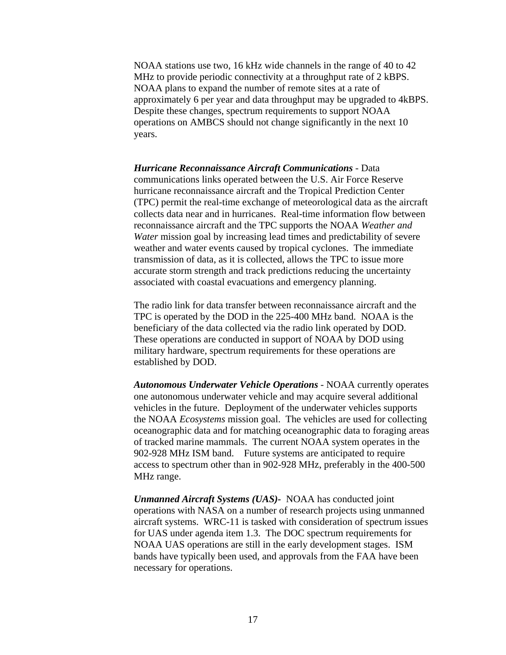<span id="page-20-0"></span>NOAA stations use two, 16 kHz wide channels in the range of 40 to 42 MHz to provide periodic connectivity at a throughput rate of 2 kBPS. NOAA plans to expand the number of remote sites at a rate of approximately 6 per year and data throughput may be upgraded to 4kBPS. Despite these changes, spectrum requirements to support NOAA operations on AMBCS should not change significantly in the next 10 years.

*Hurricane Reconnaissance Aircraft Communications -* Data communications links operated between the U.S. Air Force Reserve hurricane reconnaissance aircraft and the Tropical Prediction Center (TPC) permit the real-time exchange of meteorological data as the aircraft collects data near and in hurricanes. Real-time information flow between reconnaissance aircraft and the TPC supports the NOAA *Weather and Water* mission goal by increasing lead times and predictability of severe weather and water events caused by tropical cyclones. The immediate transmission of data, as it is collected, allows the TPC to issue more accurate storm strength and track predictions reducing the uncertainty associated with coastal evacuations and emergency planning.

The radio link for data transfer between reconnaissance aircraft and the TPC is operated by the DOD in the 225-400 MHz band. NOAA is the beneficiary of the data collected via the radio link operated by DOD. These operations are conducted in support of NOAA by DOD using military hardware, spectrum requirements for these operations are established by DOD.

*Autonomous Underwater Vehicle Operations -* NOAA currently operates one autonomous underwater vehicle and may acquire several additional vehicles in the future. Deployment of the underwater vehicles supports the NOAA *Ecosystems* mission goal. The vehicles are used for collecting oceanographic data and for matching oceanographic data to foraging areas of tracked marine mammals. The current NOAA system operates in the 902-928 MHz ISM band. Future systems are anticipated to require access to spectrum other than in 902-928 MHz, preferably in the 400-500 MHz range.

*Unmanned Aircraft Systems (UAS)-* NOAA has conducted joint operations with NASA on a number of research projects using unmanned aircraft systems. WRC-11 is tasked with consideration of spectrum issues for UAS under agenda item 1.3. The DOC spectrum requirements for NOAA UAS operations are still in the early development stages. ISM bands have typically been used, and approvals from the FAA have been necessary for operations.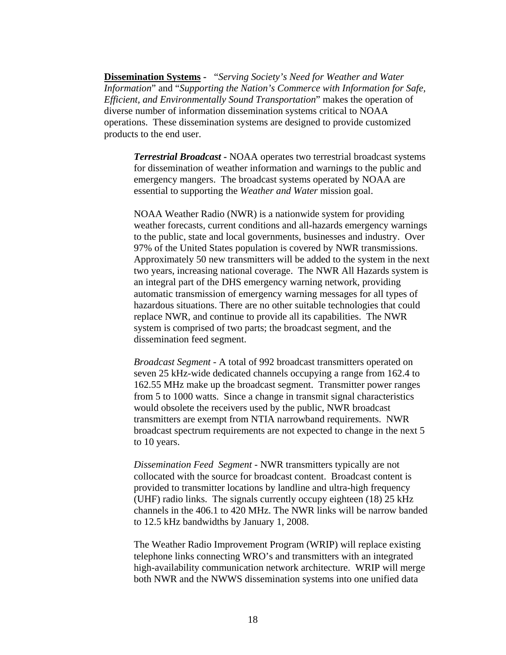<span id="page-21-0"></span>**Dissemination Systems -** "*Serving Society's Need for Weather and Water Information*" and "*Supporting the Nation's Commerce with Information for Safe, Efficient, and Environmentally Sound Transportation*" makes the operation of diverse number of information dissemination systems critical to NOAA operations. These dissemination systems are designed to provide customized products to the end user.

*Terrestrial Broadcast* **-** NOAA operates two terrestrial broadcast systems for dissemination of weather information and warnings to the public and emergency mangers. The broadcast systems operated by NOAA are essential to supporting the *Weather and Water* mission goal.

NOAA Weather Radio (NWR) is a nationwide system for providing weather forecasts, current conditions and all-hazards emergency warnings to the public, state and local governments, businesses and industry. Over 97% of the United States population is covered by NWR transmissions. Approximately 50 new transmitters will be added to the system in the next two years, increasing national coverage. The NWR All Hazards system is an integral part of the DHS emergency warning network, providing automatic transmission of emergency warning messages for all types of hazardous situations. There are no other suitable technologies that could replace NWR, and continue to provide all its capabilities. The NWR system is comprised of two parts; the broadcast segment, and the dissemination feed segment.

*Broadcast Segment* - A total of 992 broadcast transmitters operated on seven 25 kHz-wide dedicated channels occupying a range from 162.4 to 162.55 MHz make up the broadcast segment. Transmitter power ranges from 5 to 1000 watts. Since a change in transmit signal characteristics would obsolete the receivers used by the public, NWR broadcast transmitters are exempt from NTIA narrowband requirements. NWR broadcast spectrum requirements are not expected to change in the next 5 to 10 years.

*Dissemination Feed Segment* - NWR transmitters typically are not collocated with the source for broadcast content. Broadcast content is provided to transmitter locations by landline and ultra-high frequency (UHF) radio links. The signals currently occupy eighteen (18) 25 kHz channels in the 406.1 to 420 MHz. The NWR links will be narrow banded to 12.5 kHz bandwidths by January 1, 2008.

The Weather Radio Improvement Program (WRIP) will replace existing telephone links connecting WRO's and transmitters with an integrated high-availability communication network architecture. WRIP will merge both NWR and the NWWS dissemination systems into one unified data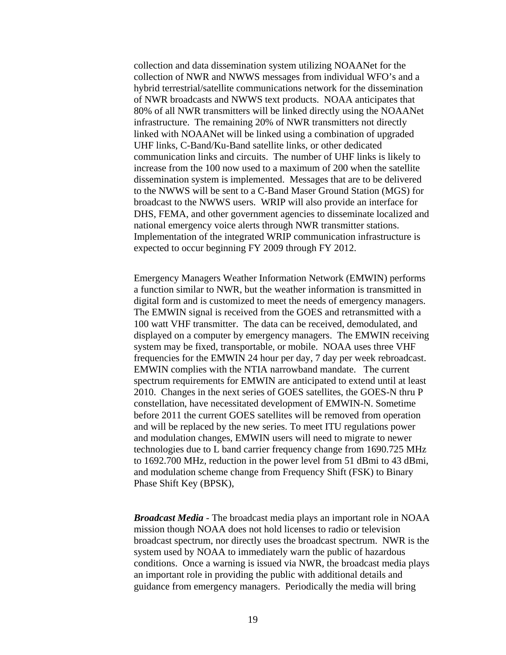<span id="page-22-0"></span>collection and data dissemination system utilizing NOAANet for the collection of NWR and NWWS messages from individual WFO's and a hybrid terrestrial/satellite communications network for the dissemination of NWR broadcasts and NWWS text products. NOAA anticipates that 80% of all NWR transmitters will be linked directly using the NOAANet infrastructure. The remaining 20% of NWR transmitters not directly linked with NOAANet will be linked using a combination of upgraded UHF links, C-Band/Ku-Band satellite links, or other dedicated communication links and circuits. The number of UHF links is likely to increase from the 100 now used to a maximum of 200 when the satellite dissemination system is implemented. Messages that are to be delivered to the NWWS will be sent to a C-Band Maser Ground Station (MGS) for broadcast to the NWWS users. WRIP will also provide an interface for DHS, FEMA, and other government agencies to disseminate localized and national emergency voice alerts through NWR transmitter stations. Implementation of the integrated WRIP communication infrastructure is expected to occur beginning FY 2009 through FY 2012.

Emergency Managers Weather Information Network (EMWIN) performs a function similar to NWR, but the weather information is transmitted in digital form and is customized to meet the needs of emergency managers. The EMWIN signal is received from the GOES and retransmitted with a 100 watt VHF transmitter. The data can be received, demodulated, and displayed on a computer by emergency managers. The EMWIN receiving system may be fixed, transportable, or mobile. NOAA uses three VHF frequencies for the EMWIN 24 hour per day, 7 day per week rebroadcast. EMWIN complies with the NTIA narrowband mandate. The current spectrum requirements for EMWIN are anticipated to extend until at least 2010. Changes in the next series of GOES satellites, the GOES-N thru P constellation, have necessitated development of EMWIN-N. Sometime before 2011 the current GOES satellites will be removed from operation and will be replaced by the new series. To meet ITU regulations power and modulation changes, EMWIN users will need to migrate to newer technologies due to L band carrier frequency change from 1690.725 MHz to 1692.700 MHz, reduction in the power level from 51 dBmi to 43 dBmi, and modulation scheme change from Frequency Shift (FSK) to Binary Phase Shift Key (BPSK),

<span id="page-22-1"></span>*Broadcast Media -* The broadcast media plays an important role in NOAA mission though NOAA does not hold licenses to radio or television broadcast spectrum, nor directly uses the broadcast spectrum. NWR is the system used by NOAA to immediately warn the public of hazardous conditions. Once a warning is issued via NWR, the broadcast media plays an important role in providing the public with additional details and guidance from emergency managers. Periodically the media will bring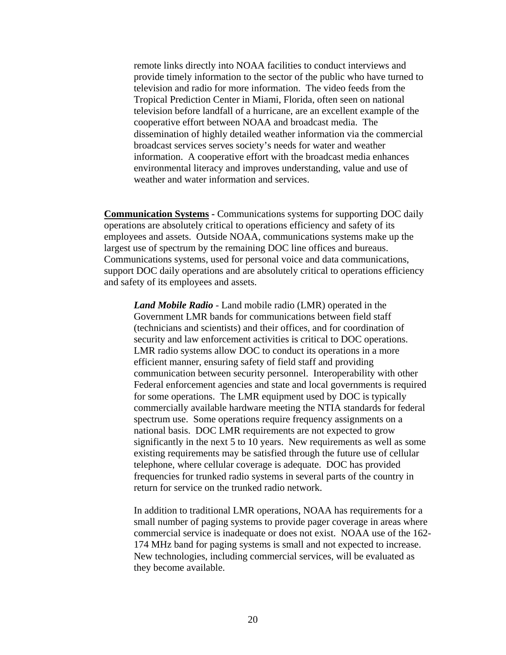<span id="page-23-0"></span>remote links directly into NOAA facilities to conduct interviews and provide timely information to the sector of the public who have turned to television and radio for more information. The video feeds from the Tropical Prediction Center in Miami, Florida, often seen on national television before landfall of a hurricane, are an excellent example of the cooperative effort between NOAA and broadcast media. The dissemination of highly detailed weather information via the commercial broadcast services serves society's needs for water and weather information. A cooperative effort with the broadcast media enhances environmental literacy and improves understanding, value and use of weather and water information and services.

**Communication Systems - Communications systems for supporting DOC daily** operations are absolutely critical to operations efficiency and safety of its employees and assets. Outside NOAA, communications systems make up the largest use of spectrum by the remaining DOC line offices and bureaus. Communications systems, used for personal voice and data communications, support DOC daily operations and are absolutely critical to operations efficiency and safety of its employees and assets.

*Land Mobile Radio -* Land mobile radio (LMR) operated in the Government LMR bands for communications between field staff (technicians and scientists) and their offices, and for coordination of security and law enforcement activities is critical to DOC operations. LMR radio systems allow DOC to conduct its operations in a more efficient manner, ensuring safety of field staff and providing communication between security personnel. Interoperability with other Federal enforcement agencies and state and local governments is required for some operations. The LMR equipment used by DOC is typically commercially available hardware meeting the NTIA standards for federal spectrum use. Some operations require frequency assignments on a national basis. DOC LMR requirements are not expected to grow significantly in the next 5 to 10 years. New requirements as well as some existing requirements may be satisfied through the future use of cellular telephone, where cellular coverage is adequate. DOC has provided frequencies for trunked radio systems in several parts of the country in return for service on the trunked radio network.

In addition to traditional LMR operations, NOAA has requirements for a small number of paging systems to provide pager coverage in areas where commercial service is inadequate or does not exist. NOAA use of the 162- 174 MHz band for paging systems is small and not expected to increase. New technologies, including commercial services, will be evaluated as they become available.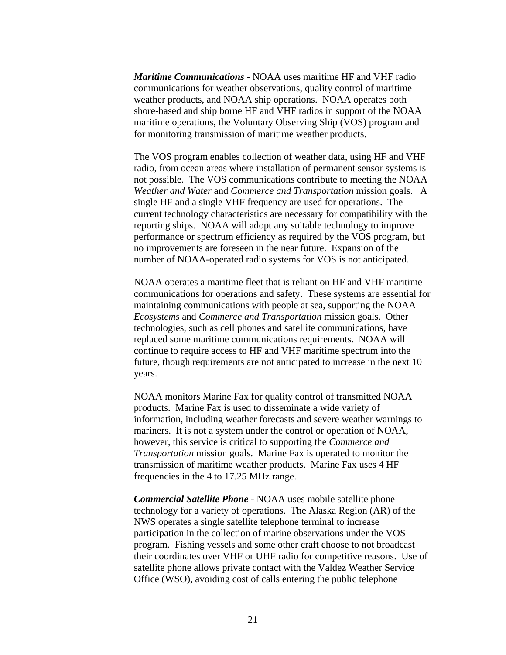<span id="page-24-0"></span>*Maritime Communications -* NOAA uses maritime HF and VHF radio communications for weather observations, quality control of maritime weather products, and NOAA ship operations. NOAA operates both shore-based and ship borne HF and VHF radios in support of the NOAA maritime operations, the Voluntary Observing Ship (VOS) program and for monitoring transmission of maritime weather products.

The VOS program enables collection of weather data, using HF and VHF radio, from ocean areas where installation of permanent sensor systems is not possible. The VOS communications contribute to meeting the NOAA *Weather and Water* and *Commerce and Transportation* mission goals. A single HF and a single VHF frequency are used for operations. The current technology characteristics are necessary for compatibility with the reporting ships. NOAA will adopt any suitable technology to improve performance or spectrum efficiency as required by the VOS program, but no improvements are foreseen in the near future. Expansion of the number of NOAA-operated radio systems for VOS is not anticipated.

NOAA operates a maritime fleet that is reliant on HF and VHF maritime communications for operations and safety. These systems are essential for maintaining communications with people at sea, supporting the NOAA *Ecosystems* and *Commerce and Transportation* mission goals. Other technologies, such as cell phones and satellite communications, have replaced some maritime communications requirements. NOAA will continue to require access to HF and VHF maritime spectrum into the future, though requirements are not anticipated to increase in the next 10 years.

NOAA monitors Marine Fax for quality control of transmitted NOAA products. Marine Fax is used to disseminate a wide variety of information, including weather forecasts and severe weather warnings to mariners. It is not a system under the control or operation of NOAA, however, this service is critical to supporting the *Commerce and Transportation* mission goals. Marine Fax is operated to monitor the transmission of maritime weather products. Marine Fax uses 4 HF frequencies in the 4 to 17.25 MHz range.

<span id="page-24-1"></span>*Commercial Satellite Phone -* NOAA uses mobile satellite phone technology for a variety of operations. The Alaska Region (AR) of the NWS operates a single satellite telephone terminal to increase participation in the collection of marine observations under the VOS program. Fishing vessels and some other craft choose to not broadcast their coordinates over VHF or UHF radio for competitive reasons. Use of satellite phone allows private contact with the Valdez Weather Service Office (WSO), avoiding cost of calls entering the public telephone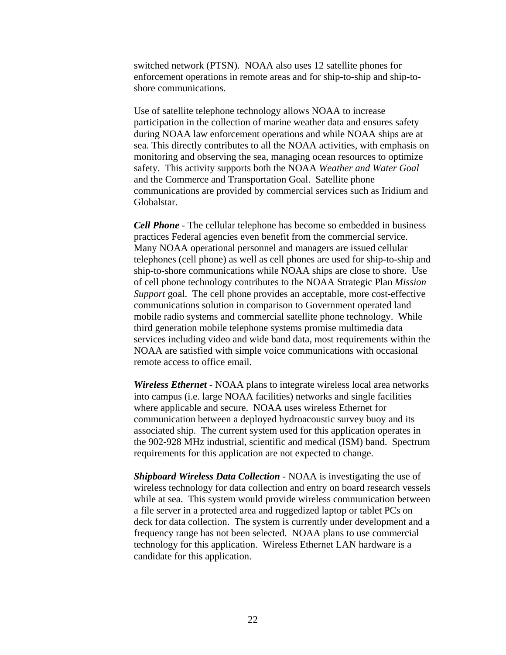<span id="page-25-0"></span>switched network (PTSN). NOAA also uses 12 satellite phones for enforcement operations in remote areas and for ship-to-ship and ship-toshore communications.

Use of satellite telephone technology allows NOAA to increase participation in the collection of marine weather data and ensures safety during NOAA law enforcement operations and while NOAA ships are at sea. This directly contributes to all the NOAA activities, with emphasis on monitoring and observing the sea, managing ocean resources to optimize safety. This activity supports both the NOAA *Weather and Water Goal* and the Commerce and Transportation Goal. Satellite phone communications are provided by commercial services such as Iridium and Globalstar.

<span id="page-25-1"></span>*Cell Phone -* The cellular telephone has become so embedded in business practices Federal agencies even benefit from the commercial service. Many NOAA operational personnel and managers are issued cellular telephones (cell phone) as well as cell phones are used for ship-to-ship and ship-to-shore communications while NOAA ships are close to shore. Use of cell phone technology contributes to the NOAA Strategic Plan *Mission Support* goal. The cell phone provides an acceptable, more cost-effective communications solution in comparison to Government operated land mobile radio systems and commercial satellite phone technology. While third generation mobile telephone systems promise multimedia data services including video and wide band data, most requirements within the NOAA are satisfied with simple voice communications with occasional remote access to office email.

<span id="page-25-2"></span>*Wireless Ethernet -* NOAA plans to integrate wireless local area networks into campus (i.e. large NOAA facilities) networks and single facilities where applicable and secure. NOAA uses wireless Ethernet for communication between a deployed hydroacoustic survey buoy and its associated ship. The current system used for this application operates in the 902-928 MHz industrial, scientific and medical (ISM) band. Spectrum requirements for this application are not expected to change.

*Shipboard Wireless Data Collection -* NOAA is investigating the use of wireless technology for data collection and entry on board research vessels while at sea. This system would provide wireless communication between a file server in a protected area and ruggedized laptop or tablet PCs on deck for data collection. The system is currently under development and a frequency range has not been selected. NOAA plans to use commercial technology for this application. Wireless Ethernet LAN hardware is a candidate for this application.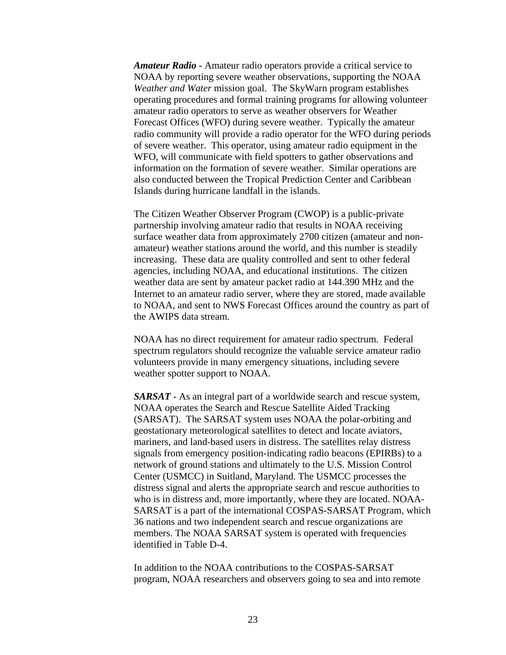<span id="page-26-0"></span>*Amateur Radio -* Amateur radio operators provide a critical service to NOAA by reporting severe weather observations, supporting the NOAA *Weather and Water* mission goal. The SkyWarn program establishes operating procedures and formal training programs for allowing volunteer amateur radio operators to serve as weather observers for Weather Forecast Offices (WFO) during severe weather. Typically the amateur radio community will provide a radio operator for the WFO during periods of severe weather. This operator, using amateur radio equipment in the WFO, will communicate with field spotters to gather observations and information on the formation of severe weather. Similar operations are also conducted between the Tropical Prediction Center and Caribbean Islands during hurricane landfall in the islands.

The Citizen Weather Observer Program (CWOP) is a public-private partnership involving amateur radio that results in NOAA receiving surface weather data from approximately 2700 citizen (amateur and nonamateur) weather stations around the world, and this number is steadily increasing. These data are quality controlled and sent to other federal agencies, including NOAA, and educational institutions. The citizen weather data are sent by amateur packet radio at 144.390 MHz and the Internet to an amateur radio server, where they are stored, made available to NOAA, and sent to NWS Forecast Offices around the country as part of the AWIPS data stream.

NOAA has no direct requirement for amateur radio spectrum. Federal spectrum regulators should recognize the valuable service amateur radio volunteers provide in many emergency situations, including severe weather spotter support to NOAA.

*SARSAT -* As an integral part of a worldwide search and rescue system, NOAA operates the Search and Rescue Satellite Aided Tracking (SARSAT). The SARSAT system uses NOAA the polar-orbiting and geostationary meteorological satellites to detect and locate aviators, mariners, and land-based users in distress. The satellites relay distress signals from emergency position-indicating radio beacons (EPIRBs) to a network of ground stations and ultimately to the U.S. Mission Control Center (USMCC) in Suitland, Maryland. The USMCC processes the distress signal and alerts the appropriate search and rescue authorities to who is in distress and, more importantly, where they are located. NOAA-SARSAT is a part of the international COSPAS-SARSAT Program, which 36 nations and two independent search and rescue organizations are members. The NOAA SARSAT system is operated with frequencies identified in Table D-4.

In addition to the NOAA contributions to the COSPAS-SARSAT program, NOAA researchers and observers going to sea and into remote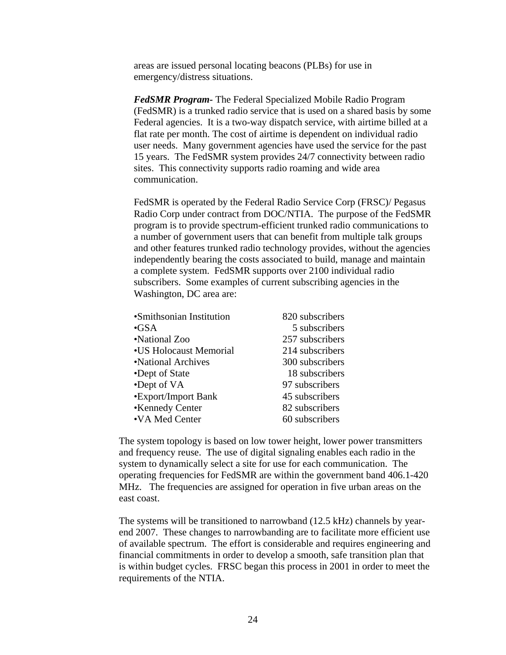<span id="page-27-0"></span>areas are issued personal locating beacons (PLBs) for use in emergency/distress situations.

*FedSMR Program-* The Federal Specialized Mobile Radio Program (FedSMR) is a trunked radio service that is used on a shared basis by some Federal agencies. It is a two-way dispatch service, with airtime billed at a flat rate per month. The cost of airtime is dependent on individual radio user needs. Many government agencies have used the service for the past 15 years. The FedSMR system provides 24/7 connectivity between radio sites. This connectivity supports radio roaming and wide area communication.

FedSMR is operated by the Federal Radio Service Corp (FRSC)/ Pegasus Radio Corp under contract from DOC/NTIA. The purpose of the FedSMR program is to provide spectrum-efficient trunked radio communications to a number of government users that can benefit from multiple talk groups and other features trunked radio technology provides, without the agencies independently bearing the costs associated to build, manage and maintain a complete system. FedSMR supports over 2100 individual radio subscribers. Some examples of current subscribing agencies in the Washington, DC area are:

| •Smithsonian Institution | 820 subscribers |
|--------------------------|-----------------|
| $\bullet$ GSA            | 5 subscribers   |
| •National Zoo            | 257 subscribers |
| •US Holocaust Memorial   | 214 subscribers |
| •National Archives       | 300 subscribers |
| •Dept of State           | 18 subscribers  |
| •Dept of VA              | 97 subscribers  |
| •Export/Import Bank      | 45 subscribers  |
| •Kennedy Center          | 82 subscribers  |
| •VA Med Center           | 60 subscribers  |
|                          |                 |

The system topology is based on low tower height, lower power transmitters and frequency reuse. The use of digital signaling enables each radio in the system to dynamically select a site for use for each communication. The operating frequencies for FedSMR are within the government band 406.1-420 MHz. The frequencies are assigned for operation in five urban areas on the east coast.

The systems will be transitioned to narrowband (12.5 kHz) channels by yearend 2007. These changes to narrowbanding are to facilitate more efficient use of available spectrum. The effort is considerable and requires engineering and financial commitments in order to develop a smooth, safe transition plan that is within budget cycles. FRSC began this process in 2001 in order to meet the requirements of the NTIA.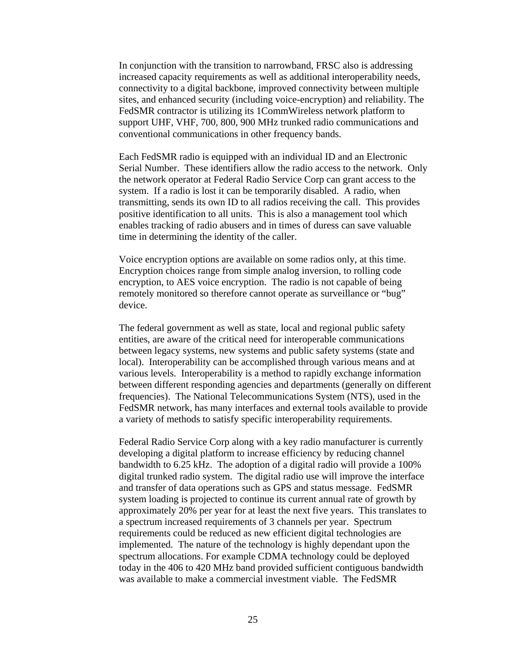In conjunction with the transition to narrowband, FRSC also is addressing increased capacity requirements as well as additional interoperability needs, connectivity to a digital backbone, improved connectivity between multiple sites, and enhanced security (including voice-encryption) and reliability. The FedSMR contractor is utilizing its 1CommWireless network platform to support UHF, VHF, 700, 800, 900 MHz trunked radio communications and conventional communications in other frequency bands.

Each FedSMR radio is equipped with an individual ID and an Electronic Serial Number. These identifiers allow the radio access to the network. Only the network operator at Federal Radio Service Corp can grant access to the system. If a radio is lost it can be temporarily disabled. A radio, when transmitting, sends its own ID to all radios receiving the call. This provides positive identification to all units. This is also a management tool which enables tracking of radio abusers and in times of duress can save valuable time in determining the identity of the caller.

Voice encryption options are available on some radios only, at this time. Encryption choices range from simple analog inversion, to rolling code encryption, to AES voice encryption. The radio is not capable of being remotely monitored so therefore cannot operate as surveillance or "bug" device.

The federal government as well as state, local and regional public safety entities, are aware of the critical need for interoperable communications between legacy systems, new systems and public safety systems (state and local). Interoperability can be accomplished through various means and at various levels. Interoperability is a method to rapidly exchange information between different responding agencies and departments (generally on different frequencies). The National Telecommunications System (NTS), used in the FedSMR network, has many interfaces and external tools available to provide a variety of methods to satisfy specific interoperability requirements.

Federal Radio Service Corp along with a key radio manufacturer is currently developing a digital platform to increase efficiency by reducing channel bandwidth to 6.25 kHz. The adoption of a digital radio will provide a 100% digital trunked radio system. The digital radio use will improve the interface and transfer of data operations such as GPS and status message. FedSMR system loading is projected to continue its current annual rate of growth by approximately 20% per year for at least the next five years. This translates to a spectrum increased requirements of 3 channels per year. Spectrum requirements could be reduced as new efficient digital technologies are implemented. The nature of the technology is highly dependant upon the spectrum allocations. For example CDMA technology could be deployed today in the 406 to 420 MHz band provided sufficient contiguous bandwidth was available to make a commercial investment viable. The FedSMR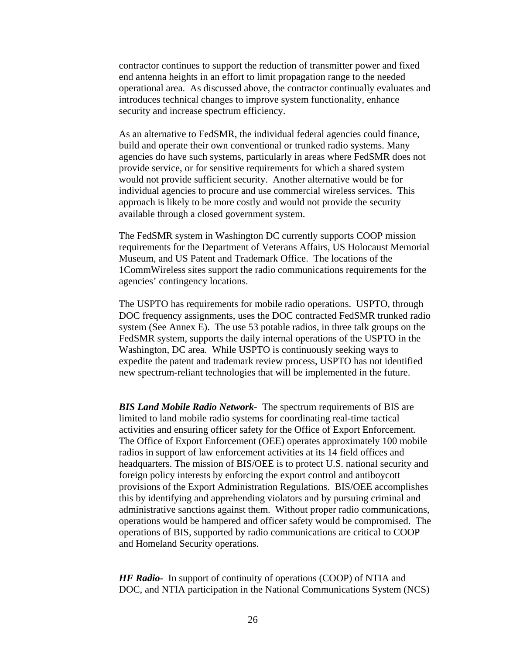<span id="page-29-0"></span>contractor continues to support the reduction of transmitter power and fixed end antenna heights in an effort to limit propagation range to the needed operational area. As discussed above, the contractor continually evaluates and introduces technical changes to improve system functionality, enhance security and increase spectrum efficiency.

As an alternative to FedSMR, the individual federal agencies could finance, build and operate their own conventional or trunked radio systems. Many agencies do have such systems, particularly in areas where FedSMR does not provide service, or for sensitive requirements for which a shared system would not provide sufficient security. Another alternative would be for individual agencies to procure and use commercial wireless services. This approach is likely to be more costly and would not provide the security available through a closed government system.

The FedSMR system in Washington DC currently supports COOP mission requirements for the Department of Veterans Affairs, US Holocaust Memorial Museum, and US Patent and Trademark Office. The locations of the 1CommWireless sites support the radio communications requirements for the agencies' contingency locations.

The USPTO has requirements for mobile radio operations. USPTO, through DOC frequency assignments, uses the DOC contracted FedSMR trunked radio system (See Annex E). The use 53 potable radios, in three talk groups on the FedSMR system, supports the daily internal operations of the USPTO in the Washington, DC area. While USPTO is continuously seeking ways to expedite the patent and trademark review process, USPTO has not identified new spectrum-reliant technologies that will be implemented in the future.

*BIS Land Mobile Radio Network*- The spectrum requirements of BIS are limited to land mobile radio systems for coordinating real-time tactical activities and ensuring officer safety for the Office of Export Enforcement. The Office of Export Enforcement (OEE) operates approximately 100 mobile radios in support of law enforcement activities at its 14 field offices and headquarters. The mission of BIS/OEE is to protect U.S. national security and foreign policy interests by enforcing the export control and antiboycott provisions of the Export Administration Regulations. BIS/OEE accomplishes this by identifying and apprehending violators and by pursuing criminal and administrative sanctions against them. Without proper radio communications, operations would be hampered and officer safety would be compromised. The operations of BIS, supported by radio communications are critical to COOP and Homeland Security operations.

*HF Radio-* In support of continuity of operations (COOP) of NTIA and DOC, and NTIA participation in the National Communications System (NCS)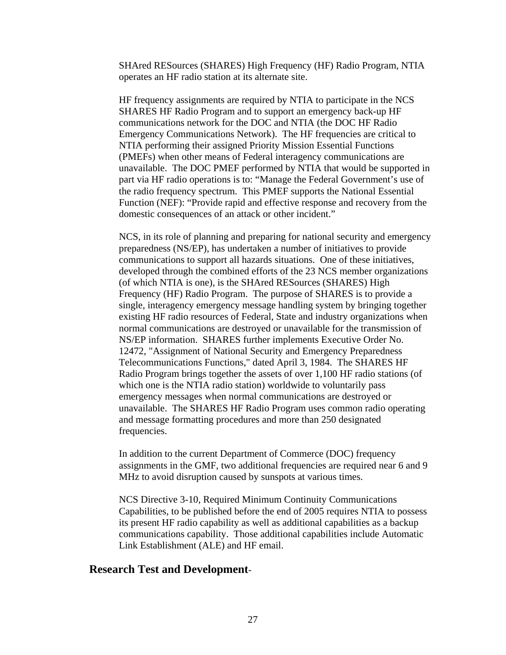<span id="page-30-0"></span>SHAred RESources (SHARES) High Frequency (HF) Radio Program, NTIA operates an HF radio station at its alternate site.

HF frequency assignments are required by NTIA to participate in the NCS SHARES HF Radio Program and to support an emergency back-up HF communications network for the DOC and NTIA (the DOC HF Radio Emergency Communications Network). The HF frequencies are critical to NTIA performing their assigned Priority Mission Essential Functions (PMEFs) when other means of Federal interagency communications are unavailable. The DOC PMEF performed by NTIA that would be supported in part via HF radio operations is to: "Manage the Federal Government's use of the radio frequency spectrum. This PMEF supports the National Essential Function (NEF): "Provide rapid and effective response and recovery from the domestic consequences of an attack or other incident."

NCS, in its role of planning and preparing for national security and emergency preparedness (NS/EP), has undertaken a number of initiatives to provide communications to support all hazards situations. One of these initiatives, developed through the combined efforts of the 23 NCS member organizations (of which NTIA is one), is the SHAred RESources (SHARES) High Frequency (HF) Radio Program. The purpose of SHARES is to provide a single, interagency emergency message handling system by bringing together existing HF radio resources of Federal, State and industry organizations when normal communications are destroyed or unavailable for the transmission of NS/EP information. SHARES further implements Executive Order No. 12472, "Assignment of National Security and Emergency Preparedness Telecommunications Functions," dated April 3, 1984. The SHARES HF Radio Program brings together the assets of over 1,100 HF radio stations (of which one is the NTIA radio station) worldwide to voluntarily pass emergency messages when normal communications are destroyed or unavailable. The SHARES HF Radio Program uses common radio operating and message formatting procedures and more than 250 designated frequencies.

In addition to the current Department of Commerce (DOC) frequency assignments in the GMF, two additional frequencies are required near 6 and 9 MHz to avoid disruption caused by sunspots at various times.

NCS Directive 3-10, Required Minimum Continuity Communications Capabilities, to be published before the end of 2005 requires NTIA to possess its present HF radio capability as well as additional capabilities as a backup communications capability. Those additional capabilities include Automatic Link Establishment (ALE) and HF email.

## **Research Test and Development**-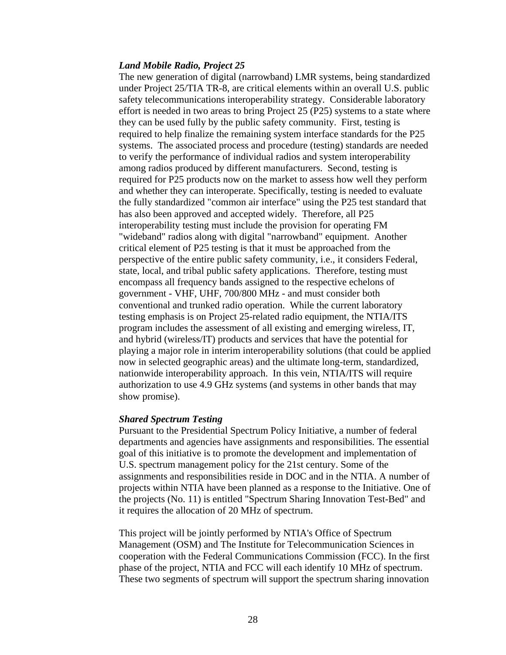#### <span id="page-31-0"></span>*Land Mobile Radio, Project 25*

The new generation of digital (narrowband) LMR systems, being standardized under Project 25/TIA TR-8, are critical elements within an overall U.S. public safety telecommunications interoperability strategy. Considerable laboratory effort is needed in two areas to bring Project 25 (P25) systems to a state where they can be used fully by the public safety community. First, testing is required to help finalize the remaining system interface standards for the P25 systems. The associated process and procedure (testing) standards are needed to verify the performance of individual radios and system interoperability among radios produced by different manufacturers. Second, testing is required for P25 products now on the market to assess how well they perform and whether they can interoperate. Specifically, testing is needed to evaluate the fully standardized "common air interface" using the P25 test standard that has also been approved and accepted widely. Therefore, all P25 interoperability testing must include the provision for operating FM "wideband" radios along with digital "narrowband" equipment. Another critical element of P25 testing is that it must be approached from the perspective of the entire public safety community, i.e., it considers Federal, state, local, and tribal public safety applications. Therefore, testing must encompass all frequency bands assigned to the respective echelons of government - VHF, UHF, 700/800 MHz - and must consider both conventional and trunked radio operation. While the current laboratory testing emphasis is on Project 25-related radio equipment, the NTIA/ITS program includes the assessment of all existing and emerging wireless, IT, and hybrid (wireless/IT) products and services that have the potential for playing a major role in interim interoperability solutions (that could be applied now in selected geographic areas) and the ultimate long-term, standardized, nationwide interoperability approach. In this vein, NTIA/ITS will require authorization to use 4.9 GHz systems (and systems in other bands that may show promise).

## *Shared Spectrum Testing*

Pursuant to the Presidential Spectrum Policy Initiative, a number of federal departments and agencies have assignments and responsibilities. The essential goal of this initiative is to promote the development and implementation of U.S. spectrum management policy for the 21st century. Some of the assignments and responsibilities reside in DOC and in the NTIA. A number of projects within NTIA have been planned as a response to the Initiative. One of the projects (No. 11) is entitled "Spectrum Sharing Innovation Test-Bed" and it requires the allocation of 20 MHz of spectrum.

This project will be jointly performed by NTIA's Office of Spectrum Management (OSM) and The Institute for Telecommunication Sciences in cooperation with the Federal Communications Commission (FCC). In the first phase of the project, NTIA and FCC will each identify 10 MHz of spectrum. These two segments of spectrum will support the spectrum sharing innovation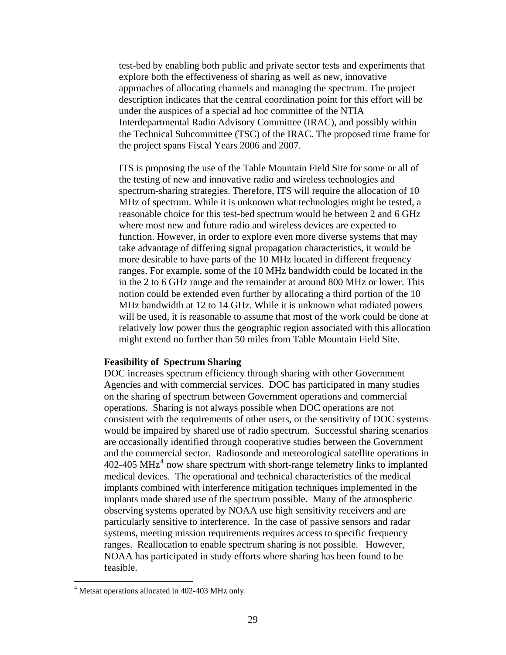<span id="page-32-0"></span>test-bed by enabling both public and private sector tests and experiments that explore both the effectiveness of sharing as well as new, innovative approaches of allocating channels and managing the spectrum. The project description indicates that the central coordination point for this effort will be under the auspices of a special ad hoc committee of the NTIA Interdepartmental Radio Advisory Committee (IRAC), and possibly within the Technical Subcommittee (TSC) of the IRAC. The proposed time frame for the project spans Fiscal Years 2006 and 2007.

ITS is proposing the use of the Table Mountain Field Site for some or all of the testing of new and innovative radio and wireless technologies and spectrum-sharing strategies. Therefore, ITS will require the allocation of 10 MHz of spectrum. While it is unknown what technologies might be tested, a reasonable choice for this test-bed spectrum would be between 2 and 6 GHz where most new and future radio and wireless devices are expected to function. However, in order to explore even more diverse systems that may take advantage of differing signal propagation characteristics, it would be more desirable to have parts of the 10 MHz located in different frequency ranges. For example, some of the 10 MHz bandwidth could be located in the in the 2 to 6 GHz range and the remainder at around 800 MHz or lower. This notion could be extended even further by allocating a third portion of the 10 MHz bandwidth at 12 to 14 GHz. While it is unknown what radiated powers will be used, it is reasonable to assume that most of the work could be done at relatively low power thus the geographic region associated with this allocation might extend no further than 50 miles from Table Mountain Field Site.

#### **Feasibility of Spectrum Sharing**

DOC increases spectrum efficiency through sharing with other Government Agencies and with commercial services. DOC has participated in many studies on the sharing of spectrum between Government operations and commercial operations. Sharing is not always possible when DOC operations are not consistent with the requirements of other users, or the sensitivity of DOC systems would be impaired by shared use of radio spectrum. Successful sharing scenarios are occasionally identified through cooperative studies between the Government and the commercial sector. Radiosonde and meteorological satellite operations in  $402-405 \text{ MHz}^4$  $402-405 \text{ MHz}^4$  now share spectrum with short-range telemetry links to implanted medical devices. The operational and technical characteristics of the medical implants combined with interference mitigation techniques implemented in the implants made shared use of the spectrum possible. Many of the atmospheric observing systems operated by NOAA use high sensitivity receivers and are particularly sensitive to interference. In the case of passive sensors and radar systems, meeting mission requirements requires access to specific frequency ranges. Reallocation to enable spectrum sharing is not possible. However, NOAA has participated in study efforts where sharing has been found to be feasible.

 $\overline{a}$ 

<sup>&</sup>lt;sup>4</sup> Metsat operations allocated in 402-403 MHz only.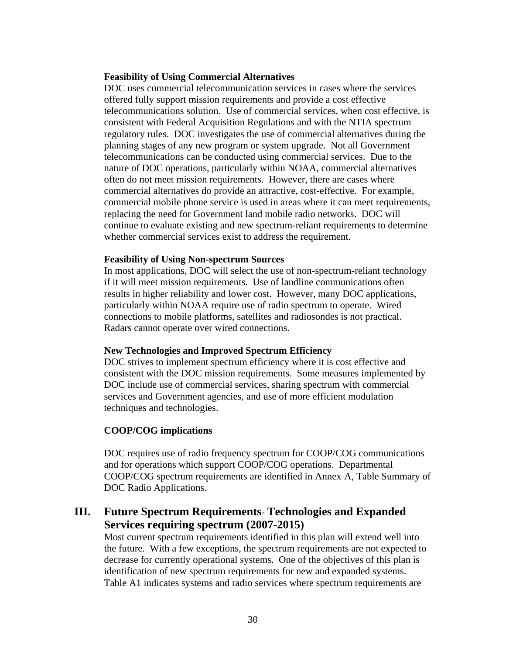## <span id="page-33-0"></span>**Feasibility of Using Commercial Alternatives**

DOC uses commercial telecommunication services in cases where the services offered fully support mission requirements and provide a cost effective telecommunications solution. Use of commercial services, when cost effective, is consistent with Federal Acquisition Regulations and with the NTIA spectrum regulatory rules. DOC investigates the use of commercial alternatives during the planning stages of any new program or system upgrade. Not all Government telecommunications can be conducted using commercial services. Due to the nature of DOC operations, particularly within NOAA, commercial alternatives often do not meet mission requirements. However, there are cases where commercial alternatives do provide an attractive, cost-effective. For example, commercial mobile phone service is used in areas where it can meet requirements, replacing the need for Government land mobile radio networks. DOC will continue to evaluate existing and new spectrum-reliant requirements to determine whether commercial services exist to address the requirement.

## **Feasibility of Using Non-spectrum Sources**

In most applications, DOC will select the use of non-spectrum-reliant technology if it will meet mission requirements. Use of landline communications often results in higher reliability and lower cost. However, many DOC applications, particularly within NOAA require use of radio spectrum to operate. Wired connections to mobile platforms, satellites and radiosondes is not practical. Radars cannot operate over wired connections.

## **New Technologies and Improved Spectrum Efficiency**

DOC strives to implement spectrum efficiency where it is cost effective and consistent with the DOC mission requirements. Some measures implemented by DOC include use of commercial services, sharing spectrum with commercial services and Government agencies, and use of more efficient modulation techniques and technologies.

## **COOP/COG implications**

DOC requires use of radio frequency spectrum for COOP/COG communications and for operations which support COOP/COG operations. Departmental COOP/COG spectrum requirements are identified in Annex A, Table Summary of DOC Radio Applications.

## **III. Future Spectrum Requirements**- **Technologies and Expanded Services requiring spectrum (2007-2015)**

Most current spectrum requirements identified in this plan will extend well into the future. With a few exceptions, the spectrum requirements are not expected to decrease for currently operational systems. One of the objectives of this plan is identification of new spectrum requirements for new and expanded systems. Table A1 indicates systems and radio services where spectrum requirements are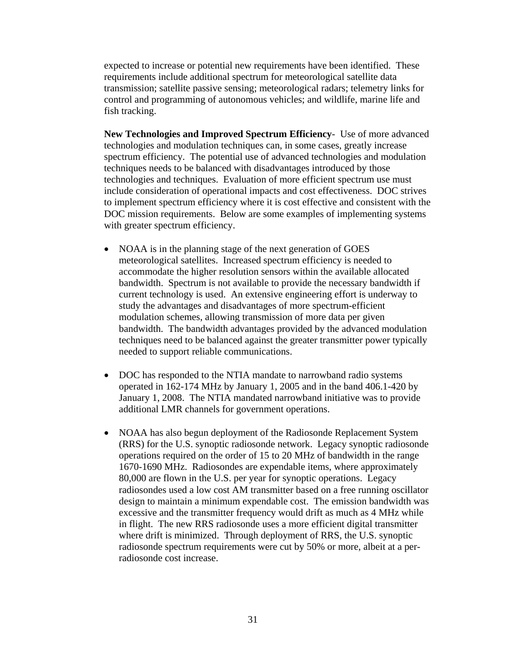<span id="page-34-0"></span>expected to increase or potential new requirements have been identified. These requirements include additional spectrum for meteorological satellite data transmission; satellite passive sensing; meteorological radars; telemetry links for control and programming of autonomous vehicles; and wildlife, marine life and fish tracking.

**New Technologies and Improved Spectrum Efficiency**- Use of more advanced technologies and modulation techniques can, in some cases, greatly increase spectrum efficiency. The potential use of advanced technologies and modulation techniques needs to be balanced with disadvantages introduced by those technologies and techniques. Evaluation of more efficient spectrum use must include consideration of operational impacts and cost effectiveness. DOC strives to implement spectrum efficiency where it is cost effective and consistent with the DOC mission requirements. Below are some examples of implementing systems with greater spectrum efficiency.

- NOAA is in the planning stage of the next generation of GOES meteorological satellites. Increased spectrum efficiency is needed to accommodate the higher resolution sensors within the available allocated bandwidth. Spectrum is not available to provide the necessary bandwidth if current technology is used. An extensive engineering effort is underway to study the advantages and disadvantages of more spectrum-efficient modulation schemes, allowing transmission of more data per given bandwidth. The bandwidth advantages provided by the advanced modulation techniques need to be balanced against the greater transmitter power typically needed to support reliable communications.
- DOC has responded to the NTIA mandate to narrowband radio systems operated in 162-174 MHz by January 1, 2005 and in the band 406.1-420 by January 1, 2008. The NTIA mandated narrowband initiative was to provide additional LMR channels for government operations.
- NOAA has also begun deployment of the Radiosonde Replacement System (RRS) for the U.S. synoptic radiosonde network. Legacy synoptic radiosonde operations required on the order of 15 to 20 MHz of bandwidth in the range 1670-1690 MHz. Radiosondes are expendable items, where approximately 80,000 are flown in the U.S. per year for synoptic operations. Legacy radiosondes used a low cost AM transmitter based on a free running oscillator design to maintain a minimum expendable cost. The emission bandwidth was excessive and the transmitter frequency would drift as much as 4 MHz while in flight. The new RRS radiosonde uses a more efficient digital transmitter where drift is minimized. Through deployment of RRS, the U.S. synoptic radiosonde spectrum requirements were cut by 50% or more, albeit at a perradiosonde cost increase.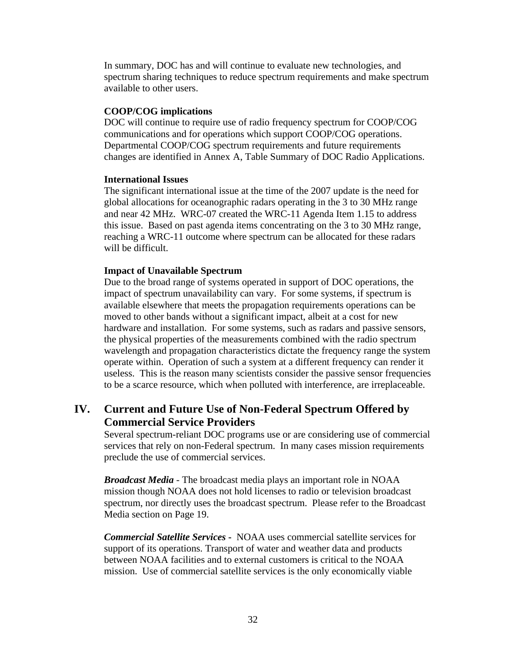<span id="page-35-0"></span>In summary, DOC has and will continue to evaluate new technologies, and spectrum sharing techniques to reduce spectrum requirements and make spectrum available to other users.

## **COOP/COG implications**

DOC will continue to require use of radio frequency spectrum for COOP/COG communications and for operations which support COOP/COG operations. Departmental COOP/COG spectrum requirements and future requirements changes are identified in Annex A, Table Summary of DOC Radio Applications.

## **International Issues**

The significant international issue at the time of the 2007 update is the need for global allocations for oceanographic radars operating in the 3 to 30 MHz range and near 42 MHz. WRC-07 created the WRC-11 Agenda Item 1.15 to address this issue. Based on past agenda items concentrating on the 3 to 30 MHz range, reaching a WRC-11 outcome where spectrum can be allocated for these radars will be difficult.

## **Impact of Unavailable Spectrum**

Due to the broad range of systems operated in support of DOC operations, the impact of spectrum unavailability can vary. For some systems, if spectrum is available elsewhere that meets the propagation requirements operations can be moved to other bands without a significant impact, albeit at a cost for new hardware and installation. For some systems, such as radars and passive sensors, the physical properties of the measurements combined with the radio spectrum wavelength and propagation characteristics dictate the frequency range the system operate within. Operation of such a system at a different frequency can render it useless. This is the reason many scientists consider the passive sensor frequencies to be a scarce resource, which when polluted with interference, are irreplaceable.

## **IV. Current and Future Use of Non-Federal Spectrum Offered by Commercial Service Providers**

Several spectrum-reliant DOC programs use or are considering use of commercial services that rely on non-Federal spectrum. In many cases mission requirements preclude the use of commercial services.

*Broadcast Media -* The broadcast media plays an important role in NOAA mission though NOAA does not hold licenses to radio or television broadcast spectrum, nor directly uses the broadcast spectrum. Please refer to the Broadcast Media section on Page [19.](#page-22-1)

*Commercial Satellite Services* **-** NOAA uses commercial satellite services for support of its operations. Transport of water and weather data and products between NOAA facilities and to external customers is critical to the NOAA mission. Use of commercial satellite services is the only economically viable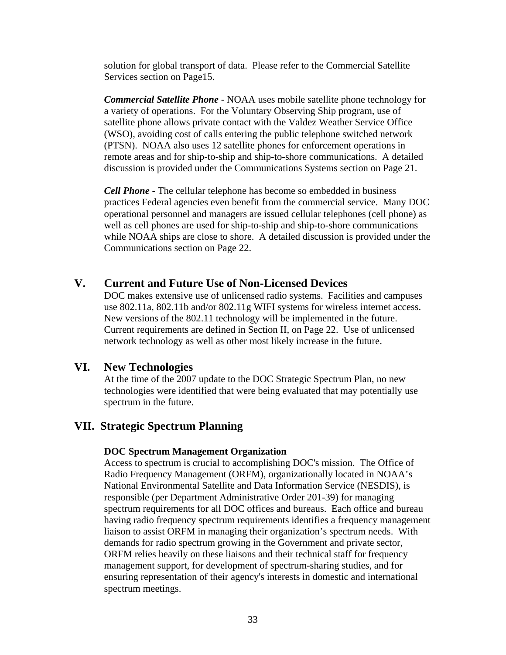<span id="page-36-0"></span>solution for global transport of data. Please refer to the Commercial Satellite Services section on Page[15.](#page-18-1)

*Commercial Satellite Phone -* NOAA uses mobile satellite phone technology for a variety of operations. For the Voluntary Observing Ship program, use of satellite phone allows private contact with the Valdez Weather Service Office (WSO), avoiding cost of calls entering the public telephone switched network (PTSN). NOAA also uses 12 satellite phones for enforcement operations in remote areas and for ship-to-ship and ship-to-shore communications. A detailed discussion is provided under the Communications Systems section on Page [21](#page-24-1).

*Cell Phone -* The cellular telephone has become so embedded in business practices Federal agencies even benefit from the commercial service. Many DOC operational personnel and managers are issued cellular telephones (cell phone) as well as cell phones are used for ship-to-ship and ship-to-shore communications while NOAA ships are close to shore. A detailed discussion is provided under the Communications section on Page [22](#page-25-1).

## **V. Current and Future Use of Non-Licensed Devices**

DOC makes extensive use of unlicensed radio systems. Facilities and campuses use 802.11a, 802.11b and/or 802.11g WIFI systems for wireless internet access. New versions of the 802.11 technology will be implemented in the future. Current requirements are defined in Section II, on Page [22.](#page-25-2) Use of unlicensed network technology as well as other most likely increase in the future.

## **VI. New Technologies**

At the time of the 2007 update to the DOC Strategic Spectrum Plan, no new technologies were identified that were being evaluated that may potentially use spectrum in the future.

## **VII. Strategic Spectrum Planning**

## **DOC Spectrum Management Organization**

Access to spectrum is crucial to accomplishing DOC's mission. The Office of Radio Frequency Management (ORFM), organizationally located in NOAA's National Environmental Satellite and Data Information Service (NESDIS), is responsible (per Department Administrative Order 201-39) for managing spectrum requirements for all DOC offices and bureaus. Each office and bureau having radio frequency spectrum requirements identifies a frequency management liaison to assist ORFM in managing their organization's spectrum needs. With demands for radio spectrum growing in the Government and private sector, ORFM relies heavily on these liaisons and their technical staff for frequency management support, for development of spectrum-sharing studies, and for ensuring representation of their agency's interests in domestic and international spectrum meetings.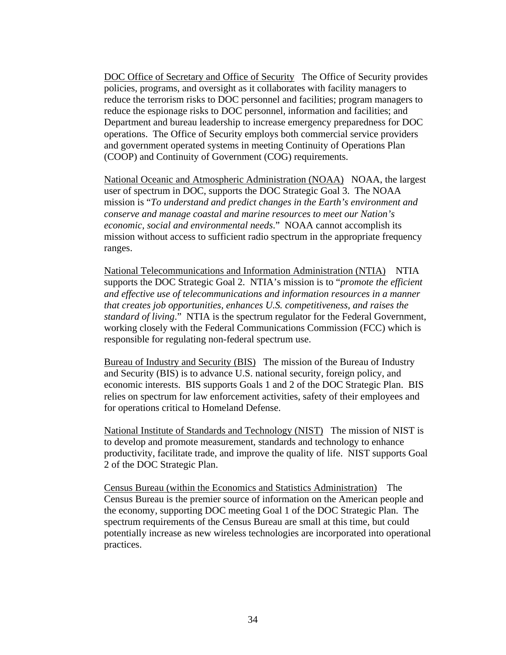<span id="page-37-0"></span>DOC Office of Secretary and Office of Security The Office of Security provides policies, programs, and oversight as it collaborates with facility managers to reduce the terrorism risks to DOC personnel and facilities; program managers to reduce the espionage risks to DOC personnel, information and facilities; and Department and bureau leadership to increase emergency preparedness for DOC operations. The Office of Security employs both commercial service providers and government operated systems in meeting Continuity of Operations Plan (COOP) and Continuity of Government (COG) requirements.

National Oceanic and Atmospheric Administration (NOAA) NOAA, the largest user of spectrum in DOC, supports the DOC Strategic Goal 3. The NOAA mission is "*To understand and predict changes in the Earth's environment and conserve and manage coastal and marine resources to meet our Nation's economic, social and environmental needs*." NOAA cannot accomplish its mission without access to sufficient radio spectrum in the appropriate frequency ranges.

National Telecommunications and Information Administration (NTIA) NTIA supports the DOC Strategic Goal 2. NTIA's mission is to "*promote the efficient and effective use of telecommunications and information resources in a manner that creates job opportunities, enhances U.S. competitiveness, and raises the standard of living*." NTIA is the spectrum regulator for the Federal Government, working closely with the Federal Communications Commission (FCC) which is responsible for regulating non-federal spectrum use.

Bureau of Industry and Security (BIS) The mission of the Bureau of Industry and Security (BIS) is to advance U.S. national security, foreign policy, and economic interests. BIS supports Goals 1 and 2 of the DOC Strategic Plan. BIS relies on spectrum for law enforcement activities, safety of their employees and for operations critical to Homeland Defense.

National Institute of Standards and Technology (NIST) The mission of NIST is to develop and promote measurement, standards and technology to enhance productivity, facilitate trade, and improve the quality of life. NIST supports Goal 2 of the DOC Strategic Plan.

Census Bureau (within the Economics and Statistics Administration) The Census Bureau is the premier source of information on the American people and the economy, supporting DOC meeting Goal 1 of the DOC Strategic Plan. The spectrum requirements of the Census Bureau are small at this time, but could potentially increase as new wireless technologies are incorporated into operational practices.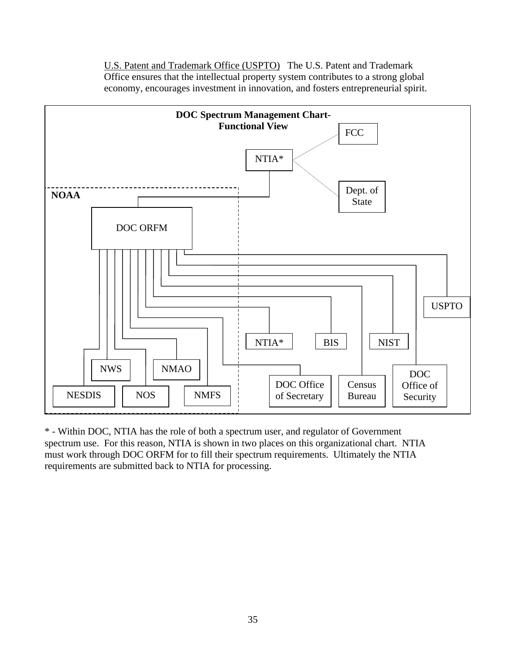U.S. Patent and Trademark Office (USPTO) The U.S. Patent and Trademark Office ensures that the intellectual property system contributes to a strong global economy, encourages investment in innovation, and fosters entrepreneurial spirit.

<span id="page-38-0"></span>

\* - Within DOC, NTIA has the role of both a spectrum user, and regulator of Government spectrum use. For this reason, NTIA is shown in two places on this organizational chart. NTIA must work through DOC ORFM for to fill their spectrum requirements. Ultimately the NTIA requirements are submitted back to NTIA for processing.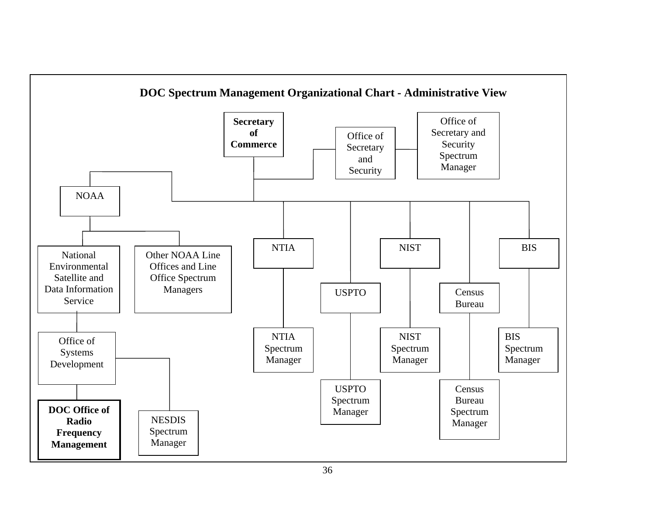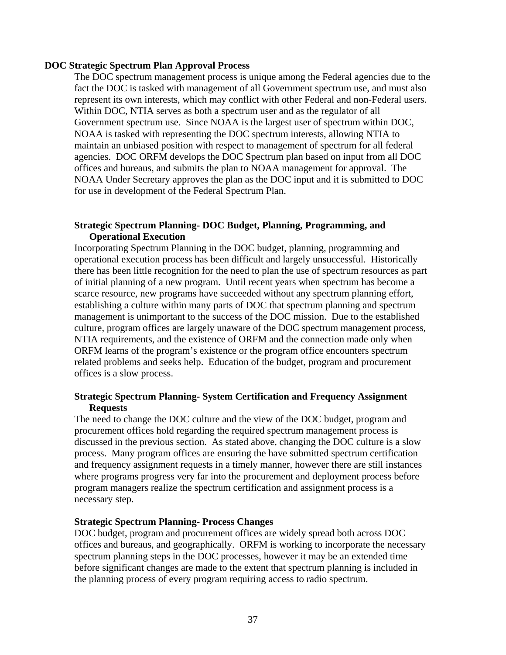## <span id="page-40-0"></span>**DOC Strategic Spectrum Plan Approval Process**

The DOC spectrum management process is unique among the Federal agencies due to the fact the DOC is tasked with management of all Government spectrum use, and must also represent its own interests, which may conflict with other Federal and non-Federal users. Within DOC, NTIA serves as both a spectrum user and as the regulator of all Government spectrum use. Since NOAA is the largest user of spectrum within DOC, NOAA is tasked with representing the DOC spectrum interests, allowing NTIA to maintain an unbiased position with respect to management of spectrum for all federal agencies. DOC ORFM develops the DOC Spectrum plan based on input from all DOC offices and bureaus, and submits the plan to NOAA management for approval. The NOAA Under Secretary approves the plan as the DOC input and it is submitted to DOC for use in development of the Federal Spectrum Plan.

## **Strategic Spectrum Planning- DOC Budget, Planning, Programming, and Operational Execution**

Incorporating Spectrum Planning in the DOC budget, planning, programming and operational execution process has been difficult and largely unsuccessful. Historically there has been little recognition for the need to plan the use of spectrum resources as part of initial planning of a new program. Until recent years when spectrum has become a scarce resource, new programs have succeeded without any spectrum planning effort, establishing a culture within many parts of DOC that spectrum planning and spectrum management is unimportant to the success of the DOC mission. Due to the established culture, program offices are largely unaware of the DOC spectrum management process, NTIA requirements, and the existence of ORFM and the connection made only when ORFM learns of the program's existence or the program office encounters spectrum related problems and seeks help. Education of the budget, program and procurement offices is a slow process.

## **Strategic Spectrum Planning- System Certification and Frequency Assignment Requests**

The need to change the DOC culture and the view of the DOC budget, program and procurement offices hold regarding the required spectrum management process is discussed in the previous section. As stated above, changing the DOC culture is a slow process. Many program offices are ensuring the have submitted spectrum certification and frequency assignment requests in a timely manner, however there are still instances where programs progress very far into the procurement and deployment process before program managers realize the spectrum certification and assignment process is a necessary step.

## **Strategic Spectrum Planning- Process Changes**

DOC budget, program and procurement offices are widely spread both across DOC offices and bureaus, and geographically. ORFM is working to incorporate the necessary spectrum planning steps in the DOC processes, however it may be an extended time before significant changes are made to the extent that spectrum planning is included in the planning process of every program requiring access to radio spectrum.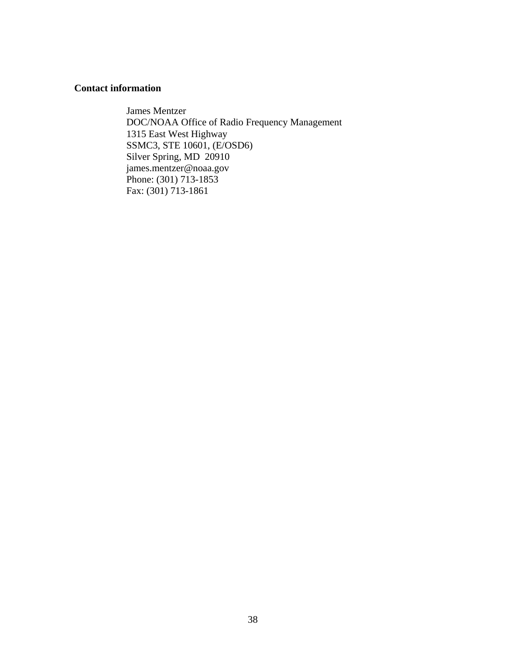## <span id="page-41-0"></span>**Contact information**

James Mentzer DOC/NOAA Office of Radio Frequency Management 1315 East West Highway SSMC3, STE 10601, (E/OSD6) Silver Spring, MD 20910 james.mentzer@noaa.gov Phone: (301) 713-1853 Fax: (301) 713-1861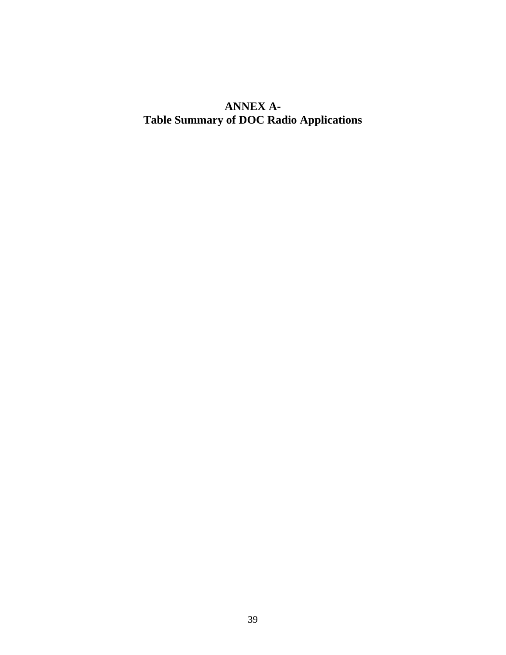# <span id="page-42-0"></span>**ANNEX A-Table Summary of DOC Radio Applications**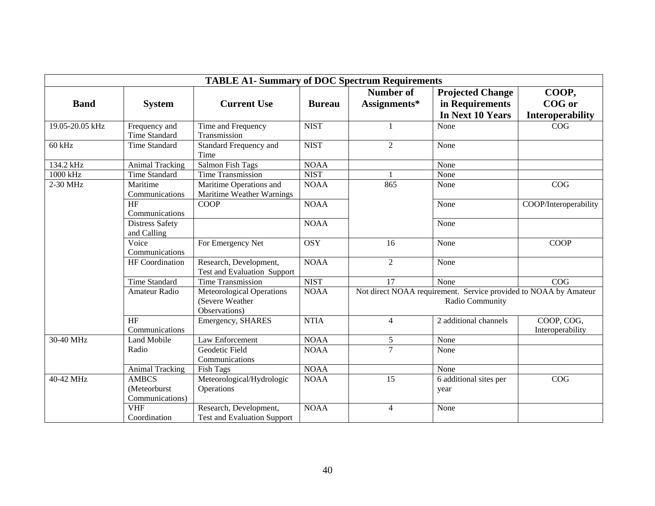| <b>TABLE A1- Summary of DOC Spectrum Requirements</b> |                                                 |                                                               |               |                                                                                     |                                |                                |  |
|-------------------------------------------------------|-------------------------------------------------|---------------------------------------------------------------|---------------|-------------------------------------------------------------------------------------|--------------------------------|--------------------------------|--|
|                                                       |                                                 |                                                               |               | <b>Number of</b>                                                                    | <b>Projected Change</b>        | COOP,                          |  |
| <b>Band</b>                                           | <b>System</b>                                   | <b>Current Use</b>                                            | <b>Bureau</b> | Assignments*                                                                        | in Requirements                | COG or                         |  |
|                                                       |                                                 |                                                               |               |                                                                                     | In Next 10 Years               | <b>Interoperability</b>        |  |
| 19.05-20.05 kHz                                       | Frequency and<br>Time Standard                  | Time and Frequency<br>Transmission                            | <b>NIST</b>   | 1                                                                                   | None                           | COG                            |  |
| $60$ kHz                                              | <b>Time Standard</b>                            | Standard Frequency and<br>Time                                | <b>NIST</b>   | $\overline{2}$                                                                      | None                           |                                |  |
| 134.2 kHz                                             | <b>Animal Tracking</b>                          | Salmon Fish Tags                                              | <b>NOAA</b>   |                                                                                     | None                           |                                |  |
| 1000 kHz                                              | <b>Time Standard</b>                            | <b>Time Transmission</b>                                      | <b>NIST</b>   | $\mathbf{1}$                                                                        | None                           |                                |  |
| 2-30 MHz                                              | Maritime<br>Communications                      | Maritime Operations and<br>Maritime Weather Warnings          | <b>NOAA</b>   | 865                                                                                 | None                           | COG                            |  |
|                                                       | HF<br>Communications                            | <b>COOP</b>                                                   | <b>NOAA</b>   |                                                                                     | None                           | COOP/Interoperability          |  |
|                                                       | <b>Distress Safety</b><br>and Calling           |                                                               | <b>NOAA</b>   |                                                                                     | None                           |                                |  |
|                                                       | Voice<br>Communications                         | For Emergency Net                                             | <b>OSY</b>    | 16                                                                                  | None                           | <b>COOP</b>                    |  |
|                                                       | HF Coordination                                 | Research, Development,<br>Test and Evaluation Support         | <b>NOAA</b>   | $\overline{2}$                                                                      | None                           |                                |  |
|                                                       | <b>Time Standard</b>                            | Time Transmission                                             | <b>NIST</b>   | 17                                                                                  | None                           | COG                            |  |
|                                                       | Amateur Radio                                   | Meteorological Operations<br>(Severe Weather<br>Observations) | <b>NOAA</b>   | Not direct NOAA requirement. Service provided to NOAA by Amateur<br>Radio Community |                                |                                |  |
|                                                       | HF<br>Communications                            | Emergency, SHARES                                             | <b>NTIA</b>   | $\overline{4}$                                                                      | 2 additional channels          | COOP, COG,<br>Interoperability |  |
| 30-40 MHz                                             | <b>Land Mobile</b>                              | Law Enforcement                                               | <b>NOAA</b>   | $\sqrt{5}$                                                                          | None                           |                                |  |
|                                                       | Radio                                           | Geodetic Field<br>Communications                              | <b>NOAA</b>   | $\overline{7}$                                                                      | None                           |                                |  |
|                                                       | <b>Animal Tracking</b>                          | <b>Fish Tags</b>                                              | <b>NOAA</b>   |                                                                                     | None                           |                                |  |
| 40-42 MHz                                             | <b>AMBCS</b><br>(Meteorburst<br>Communications) | Meteorological/Hydrologic<br>Operations                       | <b>NOAA</b>   | 15                                                                                  | 6 additional sites per<br>year | COG                            |  |
|                                                       | <b>VHF</b><br>Coordination                      | Research, Development,<br><b>Test and Evaluation Support</b>  | <b>NOAA</b>   | $\overline{4}$                                                                      | None                           |                                |  |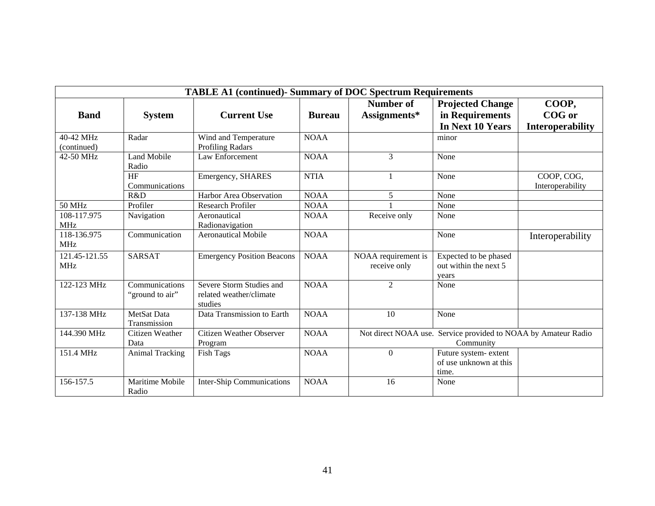| <b>TABLE A1 (continued)- Summary of DOC Spectrum Requirements</b> |                                   |                                                                |               |                                     |                                                                             |                                |  |
|-------------------------------------------------------------------|-----------------------------------|----------------------------------------------------------------|---------------|-------------------------------------|-----------------------------------------------------------------------------|--------------------------------|--|
| <b>Band</b>                                                       | <b>System</b>                     | <b>Current Use</b>                                             | <b>Bureau</b> | Number of<br>Assignments*           | <b>Projected Change</b><br>in Requirements                                  | COOP,<br>COG or                |  |
|                                                                   |                                   |                                                                |               |                                     | In Next 10 Years                                                            | <b>Interoperability</b>        |  |
| 40-42 MHz<br>(continued)                                          | Radar                             | Wind and Temperature<br><b>Profiling Radars</b>                | <b>NOAA</b>   |                                     | minor                                                                       |                                |  |
| 42-50 MHz                                                         | <b>Land Mobile</b><br>Radio       | Law Enforcement                                                | <b>NOAA</b>   | 3                                   | None                                                                        |                                |  |
|                                                                   | HF<br>Communications              | Emergency, SHARES                                              | <b>NTIA</b>   | 1                                   | None                                                                        | COOP, COG,<br>Interoperability |  |
|                                                                   | R&D                               | <b>Harbor Area Observation</b>                                 | <b>NOAA</b>   | 5                                   | None                                                                        |                                |  |
| <b>50 MHz</b>                                                     | Profiler                          | <b>Research Profiler</b>                                       | <b>NOAA</b>   |                                     | None                                                                        |                                |  |
| 108-117.975<br><b>MHz</b>                                         | Navigation                        | Aeronautical<br>Radionavigation                                | <b>NOAA</b>   | Receive only                        | None                                                                        |                                |  |
| 118-136.975<br><b>MHz</b>                                         | Communication                     | <b>Aeronautical Mobile</b>                                     | <b>NOAA</b>   |                                     | None                                                                        | Interoperability               |  |
| 121.45-121.55<br><b>MHz</b>                                       | <b>SARSAT</b>                     | <b>Emergency Position Beacons</b>                              | <b>NOAA</b>   | NOAA requirement is<br>receive only | Expected to be phased<br>out within the next 5<br>years                     |                                |  |
| 122-123 MHz                                                       | Communications<br>"ground to air" | Severe Storm Studies and<br>related weather/climate<br>studies | <b>NOAA</b>   | 2                                   | None                                                                        |                                |  |
| 137-138 MHz                                                       | MetSat Data<br>Transmission       | Data Transmission to Earth                                     | <b>NOAA</b>   | 10                                  | None                                                                        |                                |  |
| 144.390 MHz                                                       | Citizen Weather<br>Data           | <b>Citizen Weather Observer</b><br>Program                     | <b>NOAA</b>   |                                     | Not direct NOAA use. Service provided to NOAA by Amateur Radio<br>Community |                                |  |
| 151.4 MHz                                                         | <b>Animal Tracking</b>            | <b>Fish Tags</b>                                               | <b>NOAA</b>   | $\Omega$                            | Future system-extent<br>of use unknown at this<br>time.                     |                                |  |
| 156-157.5                                                         | Maritime Mobile<br>Radio          | <b>Inter-Ship Communications</b>                               | <b>NOAA</b>   | 16                                  | None                                                                        |                                |  |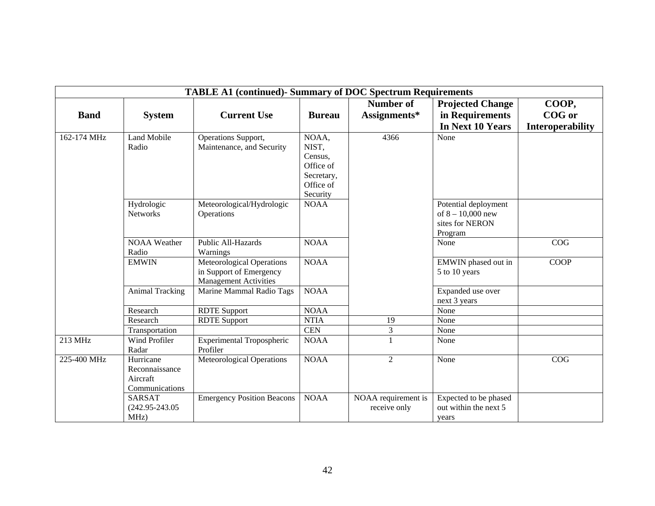| <b>TABLE A1 (continued)- Summary of DOC Spectrum Requirements</b> |                                                           |                                                                                             |                                                                               |                                     |                                                                           |                         |  |  |
|-------------------------------------------------------------------|-----------------------------------------------------------|---------------------------------------------------------------------------------------------|-------------------------------------------------------------------------------|-------------------------------------|---------------------------------------------------------------------------|-------------------------|--|--|
|                                                                   |                                                           |                                                                                             |                                                                               | Number of                           | <b>Projected Change</b>                                                   | COOP,                   |  |  |
| <b>Band</b>                                                       | <b>System</b>                                             | <b>Current Use</b>                                                                          | <b>Bureau</b>                                                                 | Assignments*                        | in Requirements                                                           | COG or                  |  |  |
|                                                                   |                                                           |                                                                                             |                                                                               |                                     | In Next 10 Years                                                          | <b>Interoperability</b> |  |  |
| 162-174 MHz                                                       | <b>Land Mobile</b><br>Radio                               | Operations Support,<br>Maintenance, and Security                                            | NOAA,<br>NIST,<br>Census,<br>Office of<br>Secretary,<br>Office of<br>Security | 4366                                | None                                                                      |                         |  |  |
|                                                                   | Hydrologic<br><b>Networks</b>                             | Meteorological/Hydrologic<br>Operations                                                     | <b>NOAA</b>                                                                   |                                     | Potential deployment<br>of $8 - 10,000$ new<br>sites for NERON<br>Program |                         |  |  |
|                                                                   | <b>NOAA</b> Weather<br>Radio                              | Public All-Hazards<br>Warnings                                                              | <b>NOAA</b>                                                                   |                                     | None                                                                      | COG                     |  |  |
|                                                                   | <b>EMWIN</b>                                              | <b>Meteorological Operations</b><br>in Support of Emergency<br><b>Management Activities</b> | <b>NOAA</b>                                                                   |                                     | EMWIN phased out in<br>5 to 10 years                                      | <b>COOP</b>             |  |  |
|                                                                   | <b>Animal Tracking</b>                                    | Marine Mammal Radio Tags                                                                    | <b>NOAA</b>                                                                   |                                     | Expanded use over<br>next 3 years                                         |                         |  |  |
|                                                                   | Research                                                  | <b>RDTE</b> Support                                                                         | <b>NOAA</b>                                                                   |                                     | None                                                                      |                         |  |  |
|                                                                   | Research                                                  | <b>RDTE</b> Support                                                                         | <b>NTIA</b>                                                                   | 19                                  | None                                                                      |                         |  |  |
|                                                                   | Transportation                                            |                                                                                             | <b>CEN</b>                                                                    | $\mathfrak{Z}$                      | None                                                                      |                         |  |  |
| 213 MHz                                                           | Wind Profiler<br>Radar                                    | <b>Experimental Tropospheric</b><br>Profiler                                                | <b>NOAA</b>                                                                   | $\mathbf{1}$                        | None                                                                      |                         |  |  |
| 225-400 MHz                                                       | Hurricane<br>Reconnaissance<br>Aircraft<br>Communications | <b>Meteorological Operations</b>                                                            | <b>NOAA</b>                                                                   | $\overline{2}$                      | None                                                                      | COG                     |  |  |
|                                                                   | <b>SARSAT</b><br>$(242.95 - 243.05$<br>MHz)               | <b>Emergency Position Beacons</b>                                                           | <b>NOAA</b>                                                                   | NOAA requirement is<br>receive only | Expected to be phased<br>out within the next 5<br>vears                   |                         |  |  |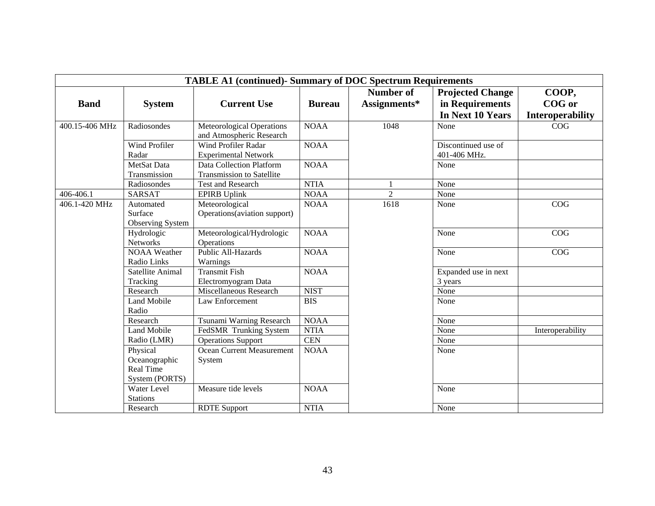| <b>TABLE A1 (continued)- Summary of DOC Spectrum Requirements</b> |                                                                 |                                                              |               |                  |                                     |                         |  |
|-------------------------------------------------------------------|-----------------------------------------------------------------|--------------------------------------------------------------|---------------|------------------|-------------------------------------|-------------------------|--|
|                                                                   |                                                                 |                                                              |               | <b>Number of</b> | <b>Projected Change</b>             | COOP,                   |  |
| <b>Band</b>                                                       | <b>System</b>                                                   | <b>Current Use</b>                                           | <b>Bureau</b> | Assignments*     | in Requirements                     | <b>COG</b> or           |  |
|                                                                   |                                                                 |                                                              |               |                  | In Next 10 Years                    | <b>Interoperability</b> |  |
| 400.15-406 MHz                                                    | Radiosondes                                                     | <b>Meteorological Operations</b><br>and Atmospheric Research | <b>NOAA</b>   | 1048             | None                                | COG                     |  |
|                                                                   | Wind Profiler<br>Radar                                          | <b>Wind Profiler Radar</b><br><b>Experimental Network</b>    | <b>NOAA</b>   |                  | Discontinued use of<br>401-406 MHz. |                         |  |
|                                                                   | MetSat Data<br>Transmission                                     | Data Collection Platform<br><b>Transmission to Satellite</b> | <b>NOAA</b>   |                  | None                                |                         |  |
|                                                                   | Radiosondes                                                     | <b>Test and Research</b>                                     | <b>NTIA</b>   |                  | None                                |                         |  |
| 406-406.1                                                         | <b>SARSAT</b>                                                   | <b>EPIRB</b> Uplink                                          | <b>NOAA</b>   | $\overline{2}$   | None                                |                         |  |
| 406.1-420 MHz                                                     | Automated<br>Surface<br><b>Observing System</b>                 | Meteorological<br>Operations (aviation support)              | <b>NOAA</b>   | 1618             | None                                | COG                     |  |
|                                                                   | Hydrologic<br><b>Networks</b>                                   | Meteorological/Hydrologic<br>Operations                      | <b>NOAA</b>   |                  | None                                | COG                     |  |
|                                                                   | <b>NOAA</b> Weather<br>Radio Links                              | Public All-Hazards<br>Warnings                               | <b>NOAA</b>   |                  | None                                | COG                     |  |
|                                                                   | Satellite Animal<br>Tracking                                    | Transmit Fish<br>Electromyogram Data                         | <b>NOAA</b>   |                  | Expanded use in next<br>3 years     |                         |  |
|                                                                   | Research                                                        | Miscellaneous Research                                       | <b>NIST</b>   |                  | None                                |                         |  |
|                                                                   | <b>Land Mobile</b><br>Radio                                     | Law Enforcement                                              | <b>BIS</b>    |                  | None                                |                         |  |
|                                                                   | Research                                                        | Tsunami Warning Research                                     | <b>NOAA</b>   |                  | None                                |                         |  |
|                                                                   | <b>Land Mobile</b>                                              | FedSMR Trunking System                                       | <b>NTIA</b>   |                  | None                                | Interoperability        |  |
|                                                                   | Radio (LMR)                                                     | <b>Operations Support</b>                                    | <b>CEN</b>    |                  | None                                |                         |  |
|                                                                   | Physical<br>Oceanographic<br><b>Real Time</b><br>System (PORTS) | Ocean Current Measurement<br>System                          | <b>NOAA</b>   |                  | None                                |                         |  |
|                                                                   | Water Level<br><b>Stations</b>                                  | Measure tide levels                                          | <b>NOAA</b>   |                  | None                                |                         |  |
|                                                                   | Research                                                        | <b>RDTE</b> Support                                          | <b>NTIA</b>   |                  | None                                |                         |  |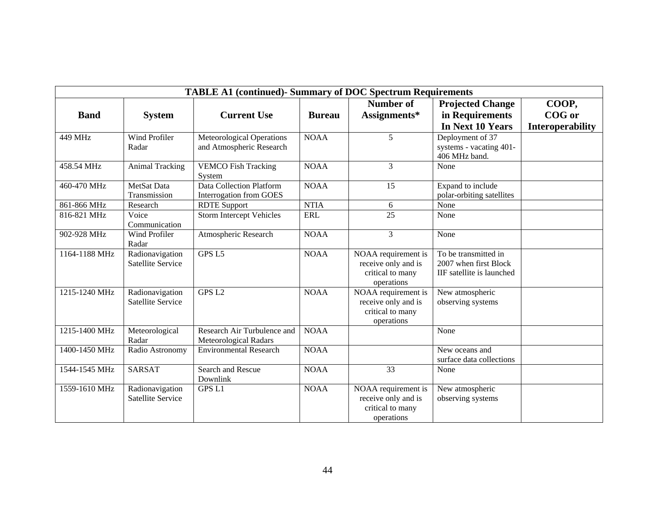| <b>TABLE A1 (continued)- Summary of DOC Spectrum Requirements</b> |                               |                                      |               |                                |                           |                  |  |
|-------------------------------------------------------------------|-------------------------------|--------------------------------------|---------------|--------------------------------|---------------------------|------------------|--|
|                                                                   |                               |                                      |               | Number of                      | <b>Projected Change</b>   | COOP,            |  |
| <b>Band</b>                                                       | <b>System</b>                 | <b>Current Use</b>                   | <b>Bureau</b> | Assignments*                   | in Requirements           | COG or           |  |
|                                                                   |                               |                                      |               |                                | In Next 10 Years          | Interoperability |  |
| 449 MHz                                                           | Wind Profiler                 | <b>Meteorological Operations</b>     | <b>NOAA</b>   | 5                              | Deployment of 37          |                  |  |
|                                                                   | Radar                         | and Atmospheric Research             |               |                                | systems - vacating 401-   |                  |  |
|                                                                   |                               |                                      |               |                                | 406 MHz band.             |                  |  |
| 458.54 MHz                                                        | <b>Animal Tracking</b>        | <b>VEMCO Fish Tracking</b><br>System | <b>NOAA</b>   | 3                              | None                      |                  |  |
| 460-470 MHz                                                       | MetSat Data                   | <b>Data Collection Platform</b>      | <b>NOAA</b>   | 15                             | Expand to include         |                  |  |
|                                                                   | Transmission                  | Interrogation from GOES              |               |                                | polar-orbiting satellites |                  |  |
| 861-866 MHz                                                       | Research                      | <b>RDTE</b> Support                  | <b>NTIA</b>   | 6                              | None                      |                  |  |
| 816-821 MHz                                                       | Voice<br>Communication        | <b>Storm Intercept Vehicles</b>      | <b>ERL</b>    | 25                             | None                      |                  |  |
| 902-928 MHz                                                       | <b>Wind Profiler</b><br>Radar | Atmospheric Research                 | <b>NOAA</b>   | $\overline{3}$                 | None                      |                  |  |
| 1164-1188 MHz                                                     | Radionavigation               | GPS <sub>L5</sub>                    | <b>NOAA</b>   | NOAA requirement is            | To be transmitted in      |                  |  |
|                                                                   | Satellite Service             |                                      |               | receive only and is            | 2007 when first Block     |                  |  |
|                                                                   |                               |                                      |               | critical to many               | IIF satellite is launched |                  |  |
|                                                                   |                               |                                      |               | operations                     |                           |                  |  |
| 1215-1240 MHz                                                     | Radionavigation               | GPS <sub>L2</sub>                    | <b>NOAA</b>   | NOAA requirement is            | New atmospheric           |                  |  |
|                                                                   | <b>Satellite Service</b>      |                                      |               | receive only and is            | observing systems         |                  |  |
|                                                                   |                               |                                      |               | critical to many<br>operations |                           |                  |  |
| 1215-1400 MHz                                                     | Meteorological                | Research Air Turbulence and          | <b>NOAA</b>   |                                | None                      |                  |  |
|                                                                   | Radar                         | Meteorological Radars                |               |                                |                           |                  |  |
| 1400-1450 MHz                                                     | Radio Astronomy               | <b>Environmental Research</b>        | <b>NOAA</b>   |                                | New oceans and            |                  |  |
|                                                                   |                               |                                      |               |                                | surface data collections  |                  |  |
| 1544-1545 MHz                                                     | <b>SARSAT</b>                 | Search and Rescue<br>Downlink        | <b>NOAA</b>   | 33                             | None                      |                  |  |
| 1559-1610 MHz                                                     | Radionavigation               | <b>GPS L1</b>                        | <b>NOAA</b>   | NOAA requirement is            | New atmospheric           |                  |  |
|                                                                   | Satellite Service             |                                      |               | receive only and is            | observing systems         |                  |  |
|                                                                   |                               |                                      |               | critical to many               |                           |                  |  |
|                                                                   |                               |                                      |               | operations                     |                           |                  |  |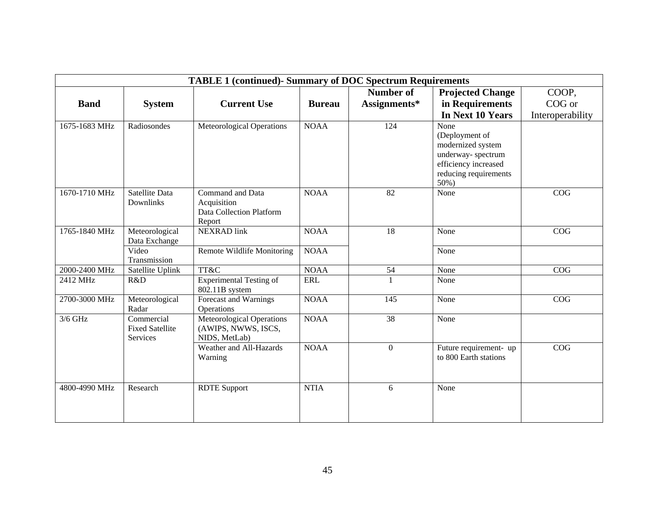| <b>TABLE 1 (continued)- Summary of DOC Spectrum Requirements</b> |                                                  |                                                                       |               |                  |                                                                                                                              |                  |  |
|------------------------------------------------------------------|--------------------------------------------------|-----------------------------------------------------------------------|---------------|------------------|------------------------------------------------------------------------------------------------------------------------------|------------------|--|
|                                                                  |                                                  |                                                                       |               | <b>Number of</b> | <b>Projected Change</b>                                                                                                      | COOP,            |  |
| <b>Band</b>                                                      | <b>System</b>                                    | <b>Current Use</b>                                                    | <b>Bureau</b> | Assignments*     | in Requirements                                                                                                              | COG or           |  |
|                                                                  |                                                  |                                                                       |               |                  | In Next 10 Years                                                                                                             | Interoperability |  |
| 1675-1683 MHz                                                    | Radiosondes                                      | <b>Meteorological Operations</b>                                      | <b>NOAA</b>   | 124              | None<br>(Deployment of<br>modernized system<br>underway-spectrum<br>efficiency increased<br>reducing requirements<br>$50%$ ) |                  |  |
| 1670-1710 MHz                                                    | Satellite Data<br>Downlinks                      | Command and Data<br>Acquisition<br>Data Collection Platform<br>Report | <b>NOAA</b>   | 82               | None                                                                                                                         | COG              |  |
| 1765-1840 MHz                                                    | Meteorological<br>Data Exchange                  | <b>NEXRAD</b> link                                                    | <b>NOAA</b>   | 18               | None                                                                                                                         | COG              |  |
|                                                                  | Video<br>Transmission                            | Remote Wildlife Monitoring                                            | <b>NOAA</b>   |                  | None                                                                                                                         |                  |  |
| 2000-2400 MHz                                                    | Satellite Uplink                                 | TT&C                                                                  | <b>NOAA</b>   | 54               | None                                                                                                                         | COG              |  |
| 2412 MHz                                                         | R&D                                              | <b>Experimental Testing of</b><br>802.11B system                      | <b>ERL</b>    | $\mathbf{1}$     | None                                                                                                                         |                  |  |
| 2700-3000 MHz                                                    | Meteorological<br>Radar                          | Forecast and Warnings<br>Operations                                   | <b>NOAA</b>   | 145              | None                                                                                                                         | COG              |  |
| $3/6$ GHz                                                        | Commercial<br><b>Fixed Satellite</b><br>Services | Meteorological Operations<br>(AWIPS, NWWS, ISCS,<br>NIDS, MetLab)     | <b>NOAA</b>   | 38               | None                                                                                                                         |                  |  |
|                                                                  |                                                  | Weather and All-Hazards<br>Warning                                    | <b>NOAA</b>   | $\mathbf{0}$     | Future requirement- up<br>to 800 Earth stations                                                                              | COG              |  |
| 4800-4990 MHz                                                    | Research                                         | <b>RDTE</b> Support                                                   | <b>NTIA</b>   | 6                | None                                                                                                                         |                  |  |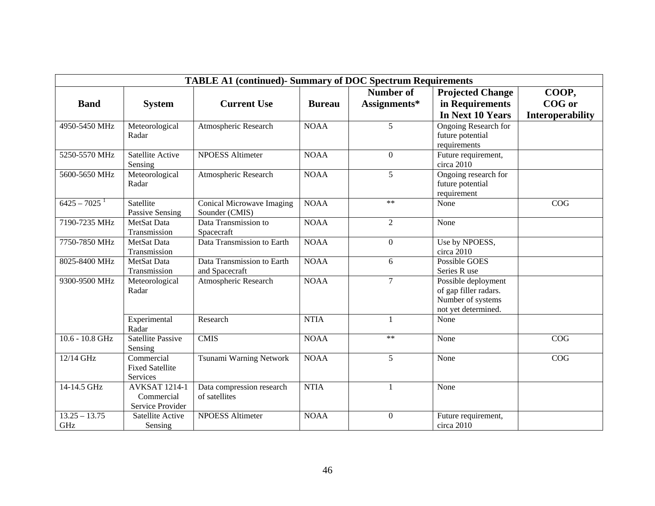| <b>TABLE A1 (continued)- Summary of DOC Spectrum Requirements</b> |                                                        |                                              |               |                  |                                                                                          |                         |  |
|-------------------------------------------------------------------|--------------------------------------------------------|----------------------------------------------|---------------|------------------|------------------------------------------------------------------------------------------|-------------------------|--|
|                                                                   |                                                        |                                              |               | <b>Number of</b> | <b>Projected Change</b>                                                                  | COOP,                   |  |
| <b>Band</b>                                                       | <b>System</b>                                          | <b>Current Use</b>                           | <b>Bureau</b> | Assignments*     | in Requirements                                                                          | COG or                  |  |
|                                                                   |                                                        |                                              |               |                  | In Next 10 Years                                                                         | <b>Interoperability</b> |  |
| 4950-5450 MHz                                                     | Meteorological<br>Radar                                | Atmospheric Research                         | <b>NOAA</b>   | 5                | <b>Ongoing Research for</b><br>future potential<br>requirements                          |                         |  |
| 5250-5570 MHz                                                     | Satellite Active<br>Sensing                            | <b>NPOESS Altimeter</b>                      | <b>NOAA</b>   | $\Omega$         | Future requirement,<br>circa 2010                                                        |                         |  |
| 5600-5650 MHz                                                     | Meteorological<br>Radar                                | Atmospheric Research                         | <b>NOAA</b>   | 5                | Ongoing research for<br>future potential<br>requirement                                  |                         |  |
| $6425 - 7025$ <sup>1</sup>                                        | Satellite<br>Passive Sensing                           | Conical Microwave Imaging<br>Sounder (CMIS)  | <b>NOAA</b>   | $**$             | None                                                                                     | COG                     |  |
| 7190-7235 MHz                                                     | MetSat Data<br>Transmission                            | Data Transmission to<br>Spacecraft           | <b>NOAA</b>   | 2                | None                                                                                     |                         |  |
| 7750-7850 MHz                                                     | MetSat Data<br>Transmission                            | Data Transmission to Earth                   | <b>NOAA</b>   | $\boldsymbol{0}$ | Use by NPOESS,<br>circa 2010                                                             |                         |  |
| 8025-8400 MHz                                                     | MetSat Data<br>Transmission                            | Data Transmission to Earth<br>and Spacecraft | <b>NOAA</b>   | 6                | Possible GOES<br>Series R use                                                            |                         |  |
| 9300-9500 MHz                                                     | Meteorological<br>Radar                                | Atmospheric Research                         | <b>NOAA</b>   | $\overline{7}$   | Possible deployment<br>of gap filler radars.<br>Number of systems<br>not yet determined. |                         |  |
|                                                                   | Experimental<br>Radar                                  | Research                                     | <b>NTIA</b>   | $\mathbf{1}$     | None                                                                                     |                         |  |
| $10.6 - 10.8$ GHz                                                 | <b>Satellite Passive</b><br>Sensing                    | <b>CMIS</b>                                  | <b>NOAA</b>   | $**$             | None                                                                                     | COG                     |  |
| 12/14 GHz                                                         | Commercial<br><b>Fixed Satellite</b><br>Services       | Tsunami Warning Network                      | <b>NOAA</b>   | 5                | None                                                                                     | COG                     |  |
| 14-14.5 GHz                                                       | <b>AVKSAT 1214-1</b><br>Commercial<br>Service Provider | Data compression research<br>of satellites   | <b>NTIA</b>   | $\mathbf{1}$     | None                                                                                     |                         |  |
| $13.25 - 13.75$<br>GHz                                            | Satellite Active<br>Sensing                            | <b>NPOESS Altimeter</b>                      | <b>NOAA</b>   | $\boldsymbol{0}$ | Future requirement,<br>circa 2010                                                        |                         |  |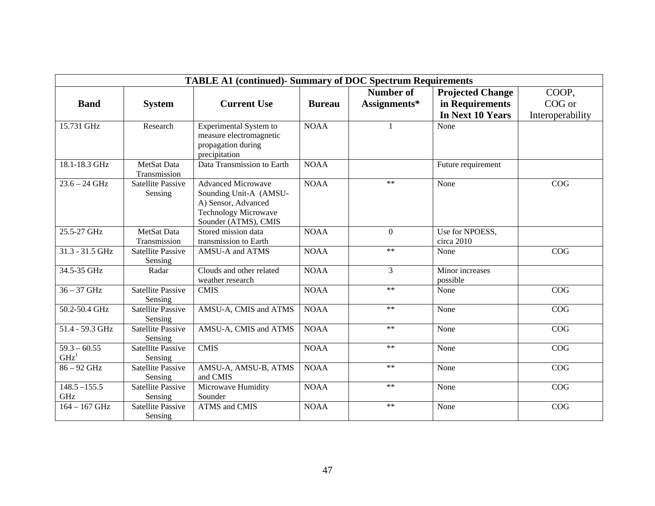| <b>TABLE A1 (continued)- Summary of DOC Spectrum Requirements</b> |                                     |                                                                                                                                   |               |                  |                               |                  |  |
|-------------------------------------------------------------------|-------------------------------------|-----------------------------------------------------------------------------------------------------------------------------------|---------------|------------------|-------------------------------|------------------|--|
|                                                                   |                                     |                                                                                                                                   |               | <b>Number of</b> | <b>Projected Change</b>       | COOP,            |  |
| <b>Band</b>                                                       | <b>System</b>                       | <b>Current Use</b>                                                                                                                | <b>Bureau</b> | Assignments*     | in Requirements               | COG or           |  |
|                                                                   |                                     |                                                                                                                                   |               |                  | In Next 10 Years              | Interoperability |  |
| 15.731 GHz                                                        | Research                            | Experimental System to<br>measure electromagnetic<br>propagation during<br>precipitation                                          | <b>NOAA</b>   | 1                | None                          |                  |  |
| 18.1-18.3 GHz                                                     | MetSat Data<br>Transmission         | Data Transmission to Earth                                                                                                        | <b>NOAA</b>   |                  | Future requirement            |                  |  |
| $23.6 - 24$ GHz                                                   | <b>Satellite Passive</b><br>Sensing | <b>Advanced Microwave</b><br>Sounding Unit-A (AMSU-<br>A) Sensor, Advanced<br><b>Technology Microwave</b><br>Sounder (ATMS), CMIS | <b>NOAA</b>   | $***$            | None                          | COG              |  |
| 25.5-27 GHz                                                       | MetSat Data<br>Transmission         | Stored mission data<br>transmission to Earth                                                                                      | <b>NOAA</b>   | $\boldsymbol{0}$ | Use for NPOESS,<br>circa 2010 |                  |  |
| 31.3 - 31.5 GHz                                                   | <b>Satellite Passive</b><br>Sensing | AMSU-A and ATMS                                                                                                                   | <b>NOAA</b>   | $**$             | None                          | COG              |  |
| 34.5-35 GHz                                                       | Radar                               | Clouds and other related<br>weather research                                                                                      | <b>NOAA</b>   | 3                | Minor increases<br>possible   |                  |  |
| $36 - 37$ GHz                                                     | <b>Satellite Passive</b><br>Sensing | <b>CMIS</b>                                                                                                                       | <b>NOAA</b>   | $**$             | None                          | COG              |  |
| 50.2-50.4 GHz                                                     | <b>Satellite Passive</b><br>Sensing | AMSU-A, CMIS and ATMS                                                                                                             | <b>NOAA</b>   | $**$             | None                          | COG              |  |
| 51.4 - 59.3 GHz                                                   | <b>Satellite Passive</b><br>Sensing | AMSU-A, CMIS and ATMS                                                                                                             | <b>NOAA</b>   | $**$             | None                          | COG              |  |
| $59.3 - 60.55$<br>$\mathbf{G}\mathbf{H}\mathbf{z}^{1}$            | <b>Satellite Passive</b><br>Sensing | <b>CMIS</b>                                                                                                                       | <b>NOAA</b>   | $**$             | None                          | COG              |  |
| 86 - 92 GHz                                                       | <b>Satellite Passive</b><br>Sensing | AMSU-A, AMSU-B, ATMS<br>and CMIS                                                                                                  | <b>NOAA</b>   | $**$             | None                          | COG              |  |
| $148.5 - 155.5$<br>GHz                                            | <b>Satellite Passive</b><br>Sensing | Microwave Humidity<br>Sounder                                                                                                     | <b>NOAA</b>   | $**$             | None                          | COG              |  |
| $164 - 167$ GHz                                                   | <b>Satellite Passive</b><br>Sensing | <b>ATMS</b> and CMIS                                                                                                              | <b>NOAA</b>   | $**$             | None                          | COG              |  |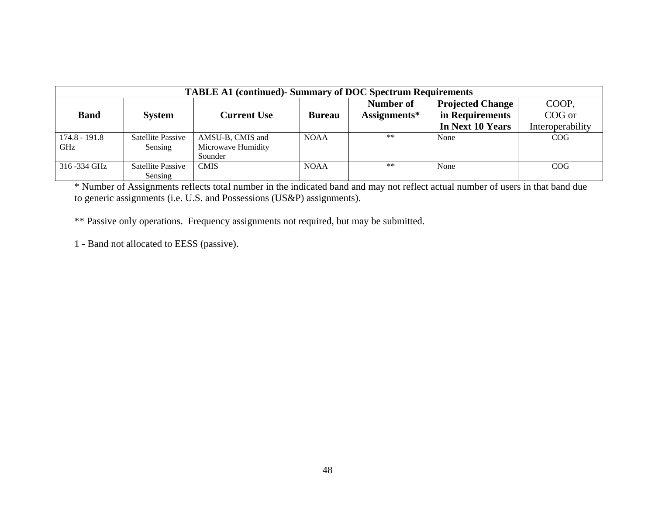| <b>TABLE A1 (continued)- Summary of DOC Spectrum Requirements</b> |                   |                    |               |              |                         |                  |  |  |
|-------------------------------------------------------------------|-------------------|--------------------|---------------|--------------|-------------------------|------------------|--|--|
|                                                                   |                   |                    |               | Number of    | <b>Projected Change</b> | COOP,            |  |  |
| <b>Band</b>                                                       | <b>System</b>     | Current Use        | <b>Bureau</b> | Assignments* | in Requirements         | COG or           |  |  |
|                                                                   |                   |                    |               |              | In Next 10 Years        | Interoperability |  |  |
| 174.8 - 191.8                                                     | Satellite Passive | AMSU-B, CMIS and   | <b>NOAA</b>   | $***$        | None                    | COG              |  |  |
| <b>GHz</b>                                                        | Sensing           | Microwave Humidity |               |              |                         |                  |  |  |
|                                                                   |                   | Sounder            |               |              |                         |                  |  |  |
| 316 -334 GHz                                                      | Satellite Passive | <b>CMIS</b>        | <b>NOAA</b>   | $***$        | None                    | COG              |  |  |
|                                                                   | Sensing           |                    |               |              |                         |                  |  |  |

\* Number of Assignments reflects total number in the indicated band and may not reflect actual number of users in that band due to generic assignments (i.e. U.S. and Possessions (US&P) assignments).

\*\* Passive only operations. Frequency assignments not required, but may be submitted.

1 - Band not allocated to EESS (passive).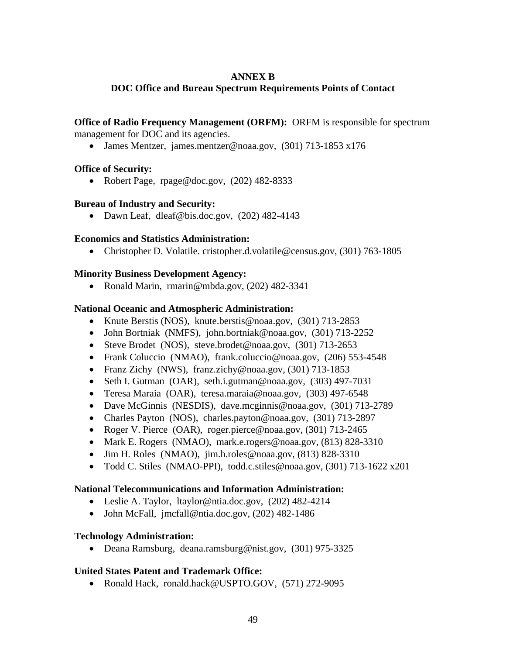## **ANNEX B**

## <span id="page-52-0"></span>**DOC Office and Bureau Spectrum Requirements Points of Contact**

**Office of Radio Frequency Management (ORFM):** ORFM is responsible for spectrum management for DOC and its agencies.

• James Mentzer, james.mentzer@noaa.gov, (301) 713-1853 x176

## **Office of Security:**

• Robert Page, rpage@doc.gov, (202) 482-8333

## **Bureau of Industry and Security:**

• Dawn Leaf, dleaf@bis.doc.gov, (202) 482-4143

## **Economics and Statistics Administration:**

• Christopher D. Volatile. cristopher.d.volatile@census.gov, (301) 763-1805

## **Minority Business Development Agency:**

• Ronald Marin, rmarin@mbda.gov, (202) 482-3341

## **National Oceanic and Atmospheric Administration:**

- Knute Berstis (NOS), knute.berstis@noaa.gov, (301) 713-2853
- John Bortniak (NMFS), john.bortniak@noaa.gov, (301) 713-2252
- Steve Brodet (NOS), steve.brodet@noaa.gov, (301) 713-2653
- Frank Coluccio (NMAO), frank.coluccio@noaa.gov, (206) 553-4548
- Franz Zichy (NWS), franz.zichy@noaa.gov, (301) 713-1853
- Seth I. Gutman (OAR), seth.i.gutman@noaa.gov, (303) 497-7031
- Teresa Maraia (OAR), teresa.maraia@noaa.gov, (303) 497-6548
- Dave McGinnis (NESDIS), dave.mcginnis@noaa.gov, (301) 713-2789
- Charles Payton (NOS), charles.payton@noaa.gov, (301) 713-2897
- Roger V. Pierce (OAR), roger.pierce@noaa.gov, (301) 713-2465
- Mark E. Rogers (NMAO), mark.e.rogers@noaa.gov, (813) 828-3310
- Jim H. Roles (NMAO),  $\lim_{h \to 0}$  noaa.gov, (813) 828-3310
- Todd C. Stiles (NMAO-PPI), todd.c.stiles@noaa.gov, (301) 713-1622 x201

## **National Telecommunications and Information Administration:**

- Leslie A. Taylor, ltaylor@ntia.doc.gov, (202) 482-4214
- John McFall, jmcfall@ntia.doc.gov, (202) 482-1486

## **Technology Administration:**

• Deana Ramsburg, deana.ramsburg@nist.gov, (301) 975-3325

## **United States Patent and Trademark Office:**

• Ronald Hack, ronald.hack@USPTO.GOV, (571) 272-9095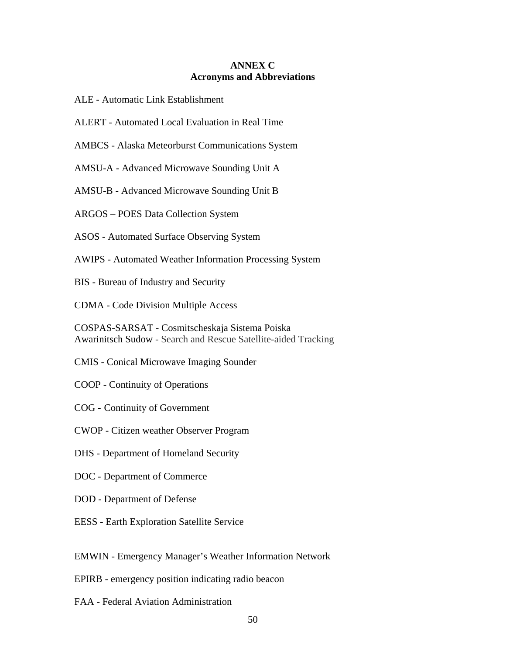## **ANNEX C Acronyms and Abbreviations**

- <span id="page-53-0"></span>ALE - Automatic Link Establishment
- ALERT Automated Local Evaluation in Real Time
- AMBCS Alaska Meteorburst Communications System

AMSU-A - Advanced Microwave Sounding Unit A

AMSU-B - Advanced Microwave Sounding Unit B

ARGOS – POES Data Collection System

ASOS - Automated Surface Observing System

AWIPS - Automated Weather Information Processing System

BIS - Bureau of Industry and Security

CDMA - Code Division Multiple Access

COSPAS-SARSAT - Cosmitscheskaja Sistema Poiska Awarinitsch Sudow - Search and Rescue Satellite-aided Tracking

- CMIS Conical Microwave Imaging Sounder
- COOP Continuity of Operations
- COG Continuity of Government
- CWOP Citizen weather Observer Program
- DHS Department of Homeland Security
- DOC Department of Commerce
- DOD Department of Defense
- EESS Earth Exploration Satellite Service

EMWIN - Emergency Manager's Weather Information Network

- EPIRB emergency position indicating radio beacon
- FAA Federal Aviation Administration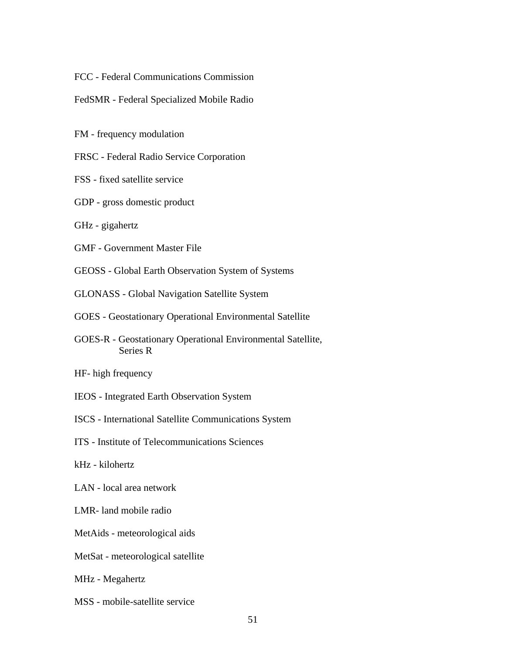FCC - Federal Communications Commission

FedSMR - Federal Specialized Mobile Radio

FM - frequency modulation

FRSC - Federal Radio Service Corporation

- FSS fixed satellite service
- GDP gross domestic product
- GHz gigahertz
- GMF Government Master File
- GEOSS Global Earth Observation System of Systems
- GLONASS Global Navigation Satellite System
- GOES Geostationary Operational Environmental Satellite
- GOES-R Geostationary Operational Environmental Satellite, Series R
- HF- high frequency
- IEOS Integrated Earth Observation System
- ISCS International Satellite Communications System
- ITS Institute of Telecommunications Sciences
- kHz kilohertz
- LAN local area network
- LMR- land mobile radio
- MetAids meteorological aids
- MetSat meteorological satellite
- MHz Megahertz
- MSS mobile-satellite service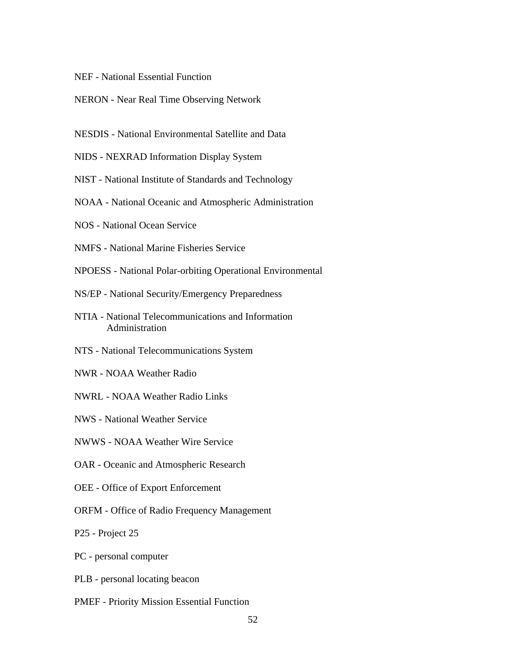- NEF National Essential Function
- NERON Near Real Time Observing Network
- NESDIS National Environmental Satellite and Data
- NIDS NEXRAD Information Display System
- NIST National Institute of Standards and Technology
- NOAA National Oceanic and Atmospheric Administration
- NOS National Ocean Service
- NMFS National Marine Fisheries Service
- NPOESS National Polar-orbiting Operational Environmental
- NS/EP National Security/Emergency Preparedness
- NTIA National Telecommunications and Information Administration
- NTS National Telecommunications System
- NWR NOAA Weather Radio
- NWRL NOAA Weather Radio Links
- NWS National Weather Service
- NWWS NOAA Weather Wire Service
- OAR Oceanic and Atmospheric Research
- OEE Office of Export Enforcement
- ORFM Office of Radio Frequency Management
- P25 Project 25
- PC personal computer
- PLB personal locating beacon
- PMEF Priority Mission Essential Function